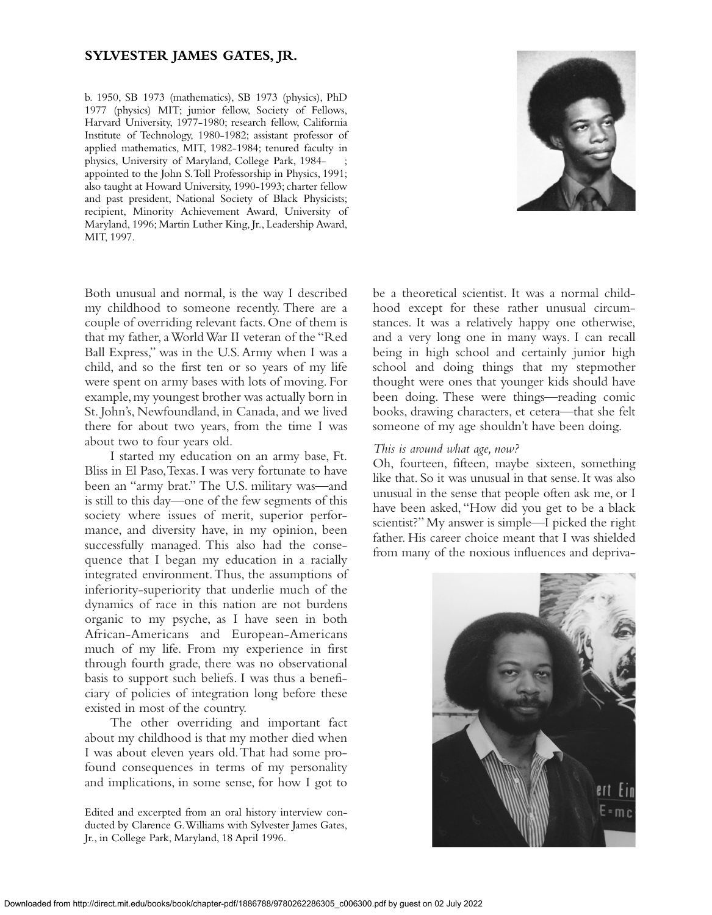# **SYLVESTER JAMES GATES, JR.**

b. 1950, SB 1973 (mathematics), SB 1973 (physics), PhD 1977 (physics) MIT; junior fellow, Society of Fellows, Harvard University, 1977-1980; research fellow, California Institute of Technology, 1980-1982; assistant professor of applied mathematics, MIT, 1982-1984; tenured faculty in physics, University of Maryland, College Park, 1984- ; appointed to the John S.Toll Professorship in Physics, 1991; also taught at Howard University, 1990-1993; charter fellow and past president, National Society of Black Physicists; recipient, Minority Achievement Award, University of Maryland, 1996; Martin Luther King, Jr., Leadership Award, MIT, 1997.

Both unusual and normal, is the way I described my childhood to someone recently. There are a couple of overriding relevant facts. One of them is that my father, a World War II veteran of the "Red Ball Express," was in the U.S.Army when I was a child, and so the first ten or so years of my life were spent on army bases with lots of moving. For example,my youngest brother was actually born in St. John's, Newfoundland, in Canada, and we lived there for about two years, from the time I was about two to four years old.

I started my education on an army base, Ft. Bliss in El Paso,Texas. I was very fortunate to have been an "army brat." The U.S. military was—and is still to this day—one of the few segments of this society where issues of merit, superior performance, and diversity have, in my opinion, been successfully managed. This also had the consequence that I began my education in a racially integrated environment.Thus, the assumptions of inferiority-superiority that underlie much of the dynamics of race in this nation are not burdens organic to my psyche, as I have seen in both African-Americans and European-Americans much of my life. From my experience in first through fourth grade, there was no observational basis to support such beliefs. I was thus a beneficiary of policies of integration long before these existed in most of the country.

The other overriding and important fact about my childhood is that my mother died when I was about eleven years old.That had some profound consequences in terms of my personality and implications, in some sense, for how I got to

Edited and excerpted from an oral history interview conducted by Clarence G.Williams with Sylvester James Gates, Jr., in College Park, Maryland, 18 April 1996.



be a theoretical scientist. It was a normal childhood except for these rather unusual circumstances. It was a relatively happy one otherwise, and a very long one in many ways. I can recall being in high school and certainly junior high school and doing things that my stepmother thought were ones that younger kids should have been doing. These were things—reading comic books, drawing characters, et cetera—that she felt someone of my age shouldn't have been doing.

### *This is around what age, now?*

Oh, fourteen, fifteen, maybe sixteen, something like that. So it was unusual in that sense. It was also unusual in the sense that people often ask me, or I have been asked, "How did you get to be a black scientist?" My answer is simple—I picked the right father. His career choice meant that I was shielded from many of the noxious influences and depriva-

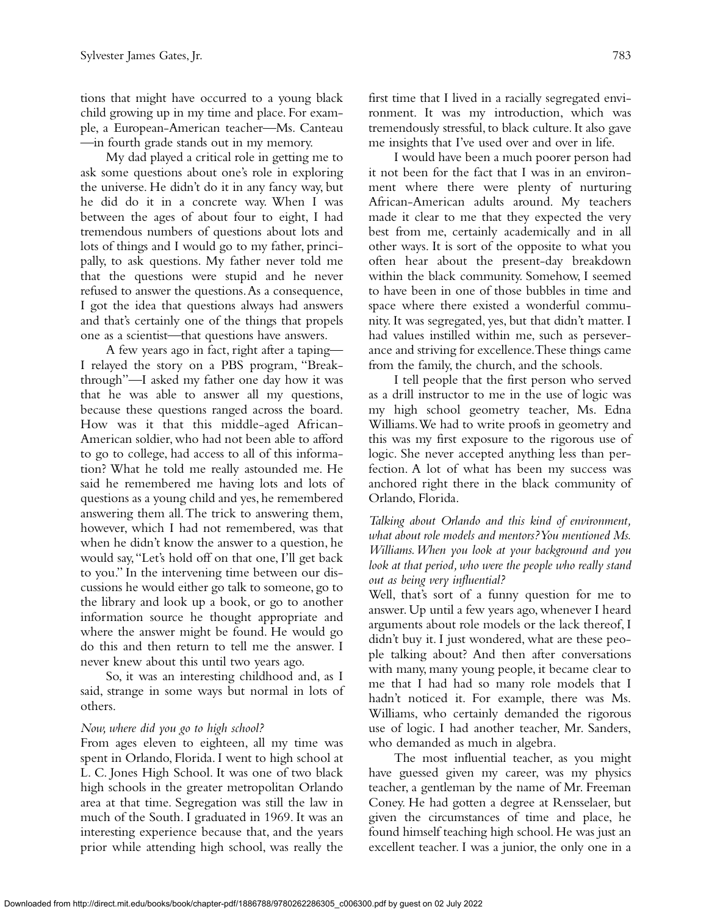tions that might have occurred to a young black child growing up in my time and place. For example, a European-American teacher—Ms. Canteau —in fourth grade stands out in my memory.

My dad played a critical role in getting me to ask some questions about one's role in exploring the universe. He didn't do it in any fancy way, but he did do it in a concrete way. When I was between the ages of about four to eight, I had tremendous numbers of questions about lots and lots of things and I would go to my father, principally, to ask questions. My father never told me that the questions were stupid and he never refused to answer the questions.As a consequence, I got the idea that questions always had answers and that's certainly one of the things that propels one as a scientist—that questions have answers.

A few years ago in fact, right after a taping— I relayed the story on a PBS program, "Breakthrough"—I asked my father one day how it was that he was able to answer all my questions, because these questions ranged across the board. How was it that this middle-aged African-American soldier, who had not been able to afford to go to college, had access to all of this information? What he told me really astounded me. He said he remembered me having lots and lots of questions as a young child and yes, he remembered answering them all.The trick to answering them, however, which I had not remembered, was that when he didn't know the answer to a question, he would say,"Let's hold off on that one, I'll get back to you." In the intervening time between our discussions he would either go talk to someone, go to the library and look up a book, or go to another information source he thought appropriate and where the answer might be found. He would go do this and then return to tell me the answer. I never knew about this until two years ago.

So, it was an interesting childhood and, as I said, strange in some ways but normal in lots of others.

### *Now, where did you go to high school?*

From ages eleven to eighteen, all my time was spent in Orlando, Florida. I went to high school at L. C. Jones High School. It was one of two black high schools in the greater metropolitan Orlando area at that time. Segregation was still the law in much of the South. I graduated in 1969. It was an interesting experience because that, and the years prior while attending high school, was really the first time that I lived in a racially segregated environment. It was my introduction, which was tremendously stressful, to black culture. It also gave me insights that I've used over and over in life.

I would have been a much poorer person had it not been for the fact that I was in an environment where there were plenty of nurturing African-American adults around. My teachers made it clear to me that they expected the very best from me, certainly academically and in all other ways. It is sort of the opposite to what you often hear about the present-day breakdown within the black community. Somehow, I seemed to have been in one of those bubbles in time and space where there existed a wonderful community. It was segregated, yes, but that didn't matter. I had values instilled within me, such as perseverance and striving for excellence.These things came from the family, the church, and the schools.

I tell people that the first person who served as a drill instructor to me in the use of logic was my high school geometry teacher, Ms. Edna Williams.We had to write proofs in geometry and this was my first exposure to the rigorous use of logic. She never accepted anything less than perfection. A lot of what has been my success was anchored right there in the black community of Orlando, Florida.

*Talking about Orlando and this kind of environment, what about role models and mentors? You mentioned Ms. Williams.When you look at your background and you look at that period, who were the people who really stand out as being very influential?*

Well, that's sort of a funny question for me to answer. Up until a few years ago, whenever I heard arguments about role models or the lack thereof, I didn't buy it. I just wondered, what are these people talking about? And then after conversations with many, many young people, it became clear to me that I had had so many role models that I hadn't noticed it. For example, there was Ms. Williams, who certainly demanded the rigorous use of logic. I had another teacher, Mr. Sanders, who demanded as much in algebra.

The most influential teacher, as you might have guessed given my career, was my physics teacher, a gentleman by the name of Mr. Freeman Coney. He had gotten a degree at Rensselaer, but given the circumstances of time and place, he found himself teaching high school. He was just an excellent teacher. I was a junior, the only one in a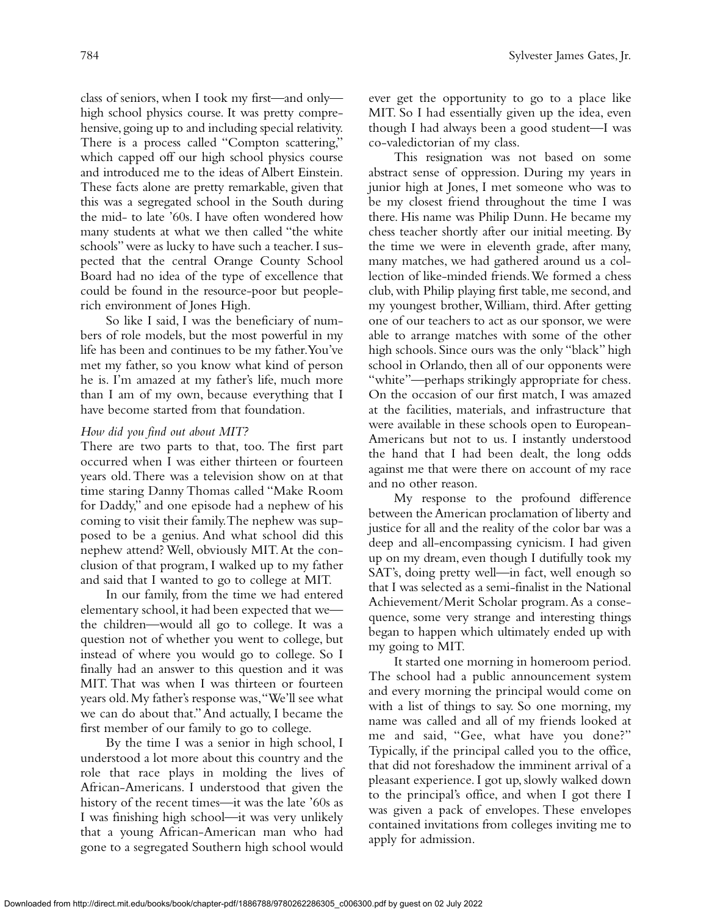class of seniors, when I took my first—and only high school physics course. It was pretty comprehensive, going up to and including special relativity. There is a process called "Compton scattering," which capped off our high school physics course and introduced me to the ideas of Albert Einstein. These facts alone are pretty remarkable, given that this was a segregated school in the South during the mid- to late '60s. I have often wondered how many students at what we then called "the white schools"were as lucky to have such a teacher.I suspected that the central Orange County School Board had no idea of the type of excellence that could be found in the resource-poor but peoplerich environment of Jones High.

So like I said, I was the beneficiary of numbers of role models, but the most powerful in my life has been and continues to be my father.You've met my father, so you know what kind of person he is. I'm amazed at my father's life, much more than I am of my own, because everything that I have become started from that foundation.

#### *How did you find out about MIT?*

There are two parts to that, too. The first part occurred when I was either thirteen or fourteen years old.There was a television show on at that time staring Danny Thomas called "Make Room for Daddy," and one episode had a nephew of his coming to visit their family.The nephew was supposed to be a genius. And what school did this nephew attend? Well, obviously MIT.At the conclusion of that program, I walked up to my father and said that I wanted to go to college at MIT.

In our family, from the time we had entered elementary school, it had been expected that wethe children—would all go to college. It was a question not of whether you went to college, but instead of where you would go to college. So I finally had an answer to this question and it was MIT. That was when I was thirteen or fourteen years old.My father's response was,"We'll see what we can do about that."And actually, I became the first member of our family to go to college.

By the time I was a senior in high school, I understood a lot more about this country and the role that race plays in molding the lives of African-Americans. I understood that given the history of the recent times—it was the late '60s as I was finishing high school—it was very unlikely that a young African-American man who had gone to a segregated Southern high school would

ever get the opportunity to go to a place like MIT. So I had essentially given up the idea, even though I had always been a good student—I was co-valedictorian of my class.

This resignation was not based on some abstract sense of oppression. During my years in junior high at Jones, I met someone who was to be my closest friend throughout the time I was there. His name was Philip Dunn. He became my chess teacher shortly after our initial meeting. By the time we were in eleventh grade, after many, many matches, we had gathered around us a collection of like-minded friends.We formed a chess club, with Philip playing first table, me second, and my youngest brother,William, third. After getting one of our teachers to act as our sponsor, we were able to arrange matches with some of the other high schools. Since ours was the only "black" high school in Orlando, then all of our opponents were "white"—perhaps strikingly appropriate for chess. On the occasion of our first match, I was amazed at the facilities, materials, and infrastructure that were available in these schools open to European-Americans but not to us. I instantly understood the hand that I had been dealt, the long odds against me that were there on account of my race and no other reason.

My response to the profound difference between the American proclamation of liberty and justice for all and the reality of the color bar was a deep and all-encompassing cynicism. I had given up on my dream, even though I dutifully took my SAT's, doing pretty well—in fact, well enough so that I was selected as a semi-finalist in the National Achievement/Merit Scholar program.As a consequence, some very strange and interesting things began to happen which ultimately ended up with my going to MIT.

It started one morning in homeroom period. The school had a public announcement system and every morning the principal would come on with a list of things to say. So one morning, my name was called and all of my friends looked at me and said, "Gee, what have you done?" Typically, if the principal called you to the office, that did not foreshadow the imminent arrival of a pleasant experience. I got up, slowly walked down to the principal's office, and when I got there I was given a pack of envelopes. These envelopes contained invitations from colleges inviting me to apply for admission.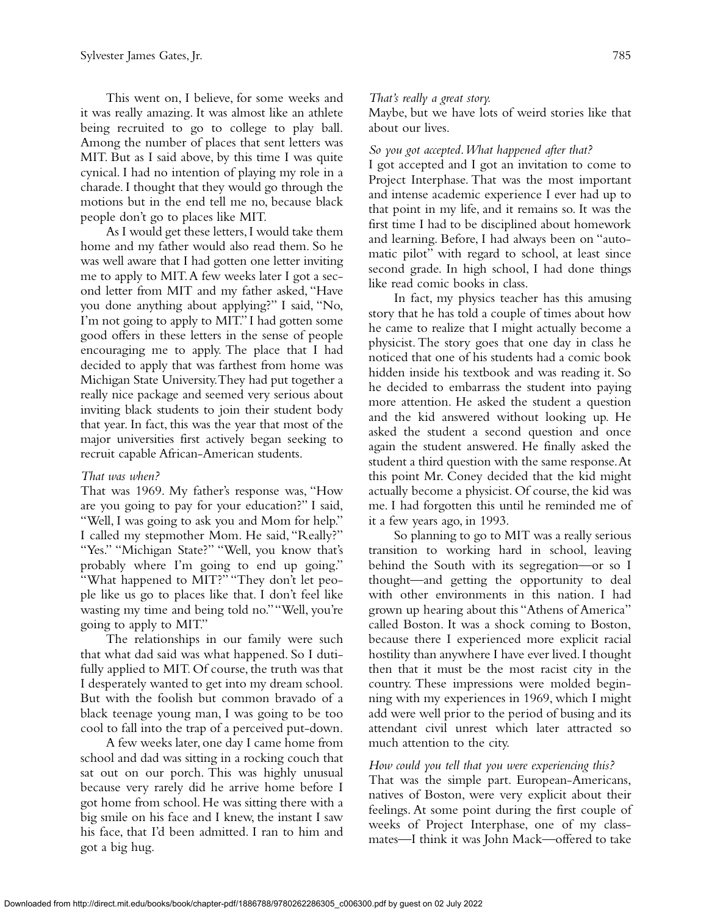This went on, I believe, for some weeks and it was really amazing. It was almost like an athlete being recruited to go to college to play ball. Among the number of places that sent letters was MIT. But as I said above, by this time I was quite cynical. I had no intention of playing my role in a charade. I thought that they would go through the motions but in the end tell me no, because black people don't go to places like MIT.

As I would get these letters, I would take them home and my father would also read them. So he was well aware that I had gotten one letter inviting me to apply to MIT.A few weeks later I got a second letter from MIT and my father asked, "Have you done anything about applying?" I said, "No, I'm not going to apply to MIT." I had gotten some good offers in these letters in the sense of people encouraging me to apply. The place that I had decided to apply that was farthest from home was Michigan State University.They had put together a really nice package and seemed very serious about inviting black students to join their student body that year. In fact, this was the year that most of the major universities first actively began seeking to recruit capable African-American students.

### *That was when?*

That was 1969. My father's response was, "How are you going to pay for your education?" I said, "Well, I was going to ask you and Mom for help." I called my stepmother Mom. He said, "Really?" "Yes." "Michigan State?" "Well, you know that's probably where I'm going to end up going." "What happened to MIT?" "They don't let people like us go to places like that. I don't feel like wasting my time and being told no.""Well, you're going to apply to MIT."

The relationships in our family were such that what dad said was what happened. So I dutifully applied to MIT. Of course, the truth was that I desperately wanted to get into my dream school. But with the foolish but common bravado of a black teenage young man, I was going to be too cool to fall into the trap of a perceived put-down.

A few weeks later, one day I came home from school and dad was sitting in a rocking couch that sat out on our porch. This was highly unusual because very rarely did he arrive home before I got home from school. He was sitting there with a big smile on his face and I knew, the instant I saw his face, that I'd been admitted. I ran to him and got a big hug.

#### *That's really a great story.*

Maybe, but we have lots of weird stories like that about our lives.

#### *So you got accepted.What happened after that?*

I got accepted and I got an invitation to come to Project Interphase. That was the most important and intense academic experience I ever had up to that point in my life, and it remains so. It was the first time I had to be disciplined about homework and learning. Before, I had always been on "automatic pilot" with regard to school, at least since second grade. In high school, I had done things like read comic books in class.

In fact, my physics teacher has this amusing story that he has told a couple of times about how he came to realize that I might actually become a physicist. The story goes that one day in class he noticed that one of his students had a comic book hidden inside his textbook and was reading it. So he decided to embarrass the student into paying more attention. He asked the student a question and the kid answered without looking up. He asked the student a second question and once again the student answered. He finally asked the student a third question with the same response.At this point Mr. Coney decided that the kid might actually become a physicist. Of course, the kid was me. I had forgotten this until he reminded me of it a few years ago, in 1993.

So planning to go to MIT was a really serious transition to working hard in school, leaving behind the South with its segregation—or so I thought—and getting the opportunity to deal with other environments in this nation. I had grown up hearing about this "Athens of America" called Boston. It was a shock coming to Boston, because there I experienced more explicit racial hostility than anywhere I have ever lived.I thought then that it must be the most racist city in the country. These impressions were molded beginning with my experiences in 1969, which I might add were well prior to the period of busing and its attendant civil unrest which later attracted so much attention to the city.

### *How could you tell that you were experiencing this?*

That was the simple part. European-Americans, natives of Boston, were very explicit about their feelings. At some point during the first couple of weeks of Project Interphase, one of my classmates—I think it was John Mack—offered to take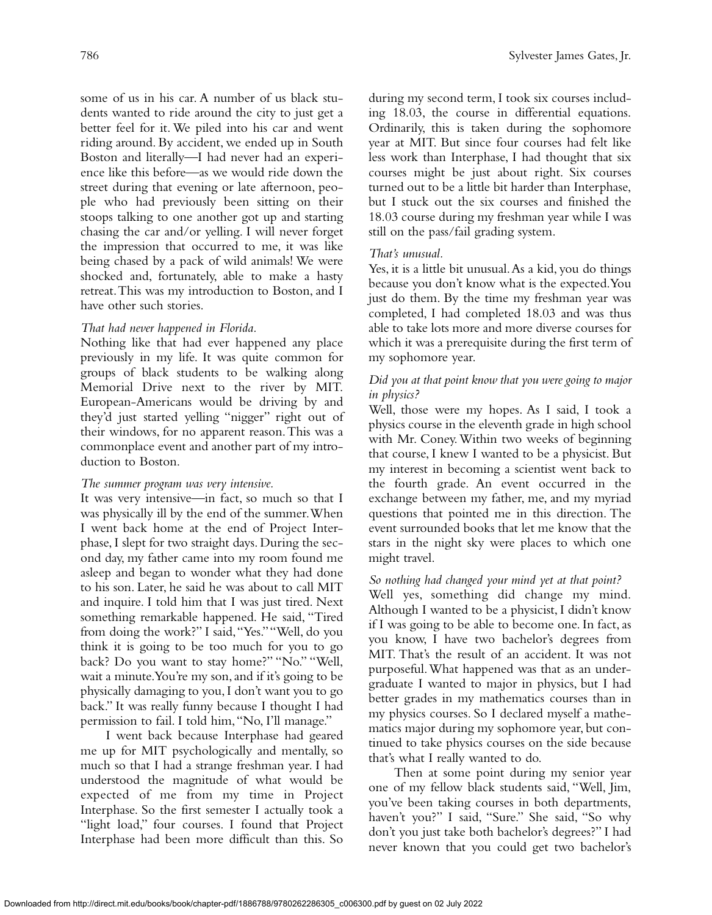some of us in his car. A number of us black students wanted to ride around the city to just get a better feel for it. We piled into his car and went riding around. By accident, we ended up in South Boston and literally—I had never had an experience like this before—as we would ride down the street during that evening or late afternoon, people who had previously been sitting on their stoops talking to one another got up and starting chasing the car and/or yelling. I will never forget the impression that occurred to me, it was like being chased by a pack of wild animals! We were shocked and, fortunately, able to make a hasty retreat.This was my introduction to Boston, and I

# *That had never happened in Florida.*

have other such stories.

Nothing like that had ever happened any place previously in my life. It was quite common for groups of black students to be walking along Memorial Drive next to the river by MIT. European-Americans would be driving by and they'd just started yelling "nigger" right out of their windows, for no apparent reason.This was a commonplace event and another part of my introduction to Boston.

### *The summer program was very intensive.*

It was very intensive—in fact, so much so that I was physically ill by the end of the summer.When I went back home at the end of Project Interphase, I slept for two straight days. During the second day, my father came into my room found me asleep and began to wonder what they had done to his son. Later, he said he was about to call MIT and inquire. I told him that I was just tired. Next something remarkable happened. He said, "Tired from doing the work?" I said,"Yes.""Well, do you think it is going to be too much for you to go back? Do you want to stay home?" "No." "Well, wait a minute.You're my son, and if it's going to be physically damaging to you,I don't want you to go back." It was really funny because I thought I had permission to fail. I told him,"No, I'll manage."

I went back because Interphase had geared me up for MIT psychologically and mentally, so much so that I had a strange freshman year. I had understood the magnitude of what would be expected of me from my time in Project Interphase. So the first semester I actually took a "light load," four courses. I found that Project Interphase had been more difficult than this. So during my second term, I took six courses including 18.03, the course in differential equations. Ordinarily, this is taken during the sophomore year at MIT. But since four courses had felt like less work than Interphase, I had thought that six courses might be just about right. Six courses turned out to be a little bit harder than Interphase, but I stuck out the six courses and finished the 18.03 course during my freshman year while I was still on the pass/fail grading system.

### *That's unusual.*

Yes, it is a little bit unusual.As a kid, you do things because you don't know what is the expected.You just do them. By the time my freshman year was completed, I had completed 18.03 and was thus able to take lots more and more diverse courses for which it was a prerequisite during the first term of my sophomore year.

# *Did you at that point know that you were going to major in physics?*

Well, those were my hopes. As I said, I took a physics course in the eleventh grade in high school with Mr. Coney.Within two weeks of beginning that course, I knew I wanted to be a physicist. But my interest in becoming a scientist went back to the fourth grade. An event occurred in the exchange between my father, me, and my myriad questions that pointed me in this direction. The event surrounded books that let me know that the stars in the night sky were places to which one might travel.

### *So nothing had changed your mind yet at that point?*

Well yes, something did change my mind. Although I wanted to be a physicist, I didn't know if I was going to be able to become one. In fact, as you know, I have two bachelor's degrees from MIT. That's the result of an accident. It was not purposeful.What happened was that as an undergraduate I wanted to major in physics, but I had better grades in my mathematics courses than in my physics courses. So I declared myself a mathematics major during my sophomore year, but continued to take physics courses on the side because that's what I really wanted to do.

Then at some point during my senior year one of my fellow black students said, "Well, Jim, you've been taking courses in both departments, haven't you?" I said, "Sure." She said, "So why don't you just take both bachelor's degrees?" I had never known that you could get two bachelor's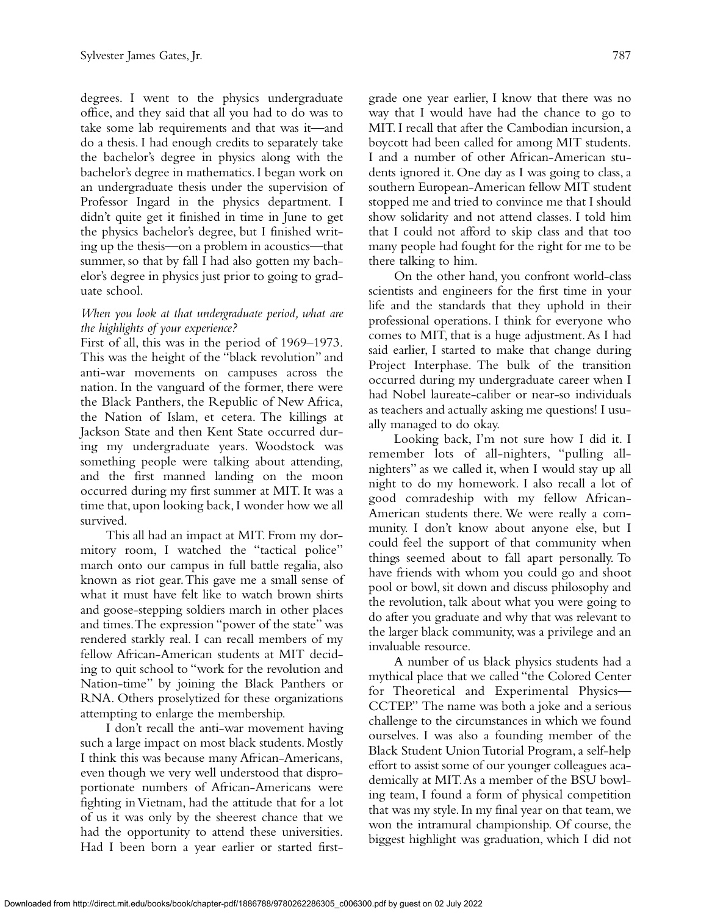degrees. I went to the physics undergraduate office, and they said that all you had to do was to take some lab requirements and that was it—and do a thesis. I had enough credits to separately take the bachelor's degree in physics along with the bachelor's degree in mathematics. I began work on an undergraduate thesis under the supervision of Professor Ingard in the physics department. I didn't quite get it finished in time in June to get the physics bachelor's degree, but I finished writing up the thesis—on a problem in acoustics—that summer, so that by fall I had also gotten my bachelor's degree in physics just prior to going to graduate school.

## *When you look at that undergraduate period, what are the highlights of your experience?*

First of all, this was in the period of 1969–1973. This was the height of the "black revolution" and anti-war movements on campuses across the nation. In the vanguard of the former, there were the Black Panthers, the Republic of New Africa, the Nation of Islam, et cetera. The killings at Jackson State and then Kent State occurred during my undergraduate years. Woodstock was something people were talking about attending, and the first manned landing on the moon occurred during my first summer at MIT. It was a time that, upon looking back, I wonder how we all survived.

This all had an impact at MIT. From my dormitory room, I watched the "tactical police" march onto our campus in full battle regalia, also known as riot gear.This gave me a small sense of what it must have felt like to watch brown shirts and goose-stepping soldiers march in other places and times.The expression "power of the state" was rendered starkly real. I can recall members of my fellow African-American students at MIT deciding to quit school to "work for the revolution and Nation-time" by joining the Black Panthers or RNA. Others proselytized for these organizations attempting to enlarge the membership.

I don't recall the anti-war movement having such a large impact on most black students. Mostly I think this was because many African-Americans, even though we very well understood that disproportionate numbers of African-Americans were fighting in Vietnam, had the attitude that for a lot of us it was only by the sheerest chance that we had the opportunity to attend these universities. Had I been born a year earlier or started firstgrade one year earlier, I know that there was no way that I would have had the chance to go to MIT. I recall that after the Cambodian incursion, a boycott had been called for among MIT students. I and a number of other African-American students ignored it. One day as I was going to class, a southern European-American fellow MIT student stopped me and tried to convince me that I should show solidarity and not attend classes. I told him that I could not afford to skip class and that too many people had fought for the right for me to be there talking to him.

On the other hand, you confront world-class scientists and engineers for the first time in your life and the standards that they uphold in their professional operations. I think for everyone who comes to MIT, that is a huge adjustment.As I had said earlier, I started to make that change during Project Interphase. The bulk of the transition occurred during my undergraduate career when I had Nobel laureate-caliber or near-so individuals as teachers and actually asking me questions! I usually managed to do okay.

Looking back, I'm not sure how I did it. I remember lots of all-nighters, "pulling allnighters" as we called it, when I would stay up all night to do my homework. I also recall a lot of good comradeship with my fellow African-American students there. We were really a community. I don't know about anyone else, but I could feel the support of that community when things seemed about to fall apart personally. To have friends with whom you could go and shoot pool or bowl, sit down and discuss philosophy and the revolution, talk about what you were going to do after you graduate and why that was relevant to the larger black community, was a privilege and an invaluable resource.

A number of us black physics students had a mythical place that we called "the Colored Center for Theoretical and Experimental Physics— CCTEP." The name was both a joke and a serious challenge to the circumstances in which we found ourselves. I was also a founding member of the Black Student Union Tutorial Program, a self-help effort to assist some of our younger colleagues academically at MIT.As a member of the BSU bowling team, I found a form of physical competition that was my style. In my final year on that team, we won the intramural championship. Of course, the biggest highlight was graduation, which I did not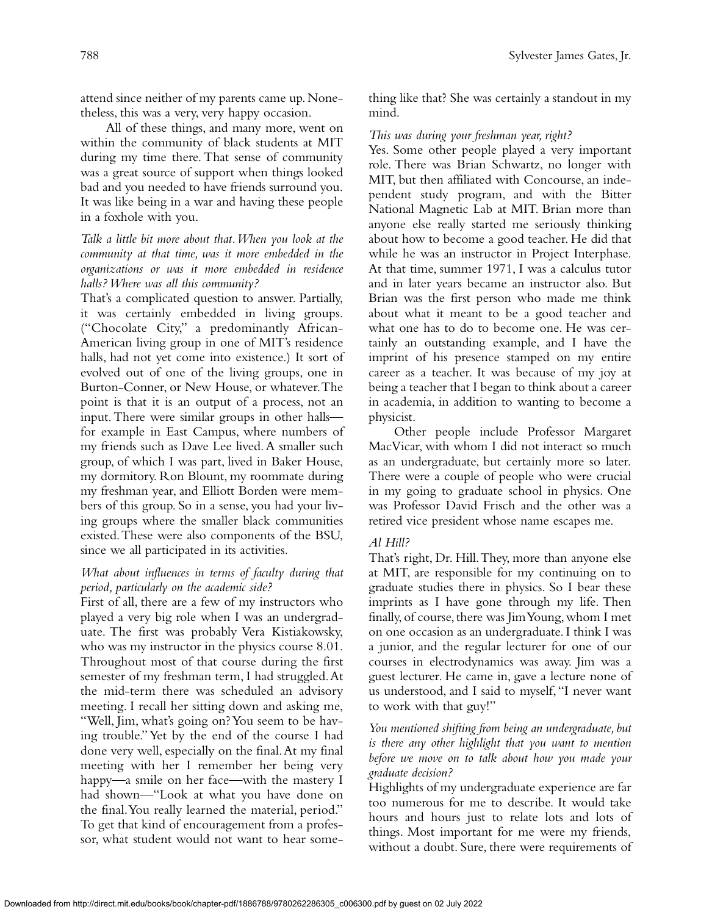attend since neither of my parents came up.Nonetheless, this was a very, very happy occasion.

All of these things, and many more, went on within the community of black students at MIT during my time there. That sense of community was a great source of support when things looked bad and you needed to have friends surround you. It was like being in a war and having these people in a foxhole with you.

*Talk a little bit more about that.When you look at the community at that time, was it more embedded in the organizations or was it more embedded in residence halls? Where was all this community?*

That's a complicated question to answer. Partially, it was certainly embedded in living groups. ("Chocolate City," a predominantly African-American living group in one of MIT's residence halls, had not yet come into existence.) It sort of evolved out of one of the living groups, one in Burton-Conner, or New House, or whatever.The point is that it is an output of a process, not an input.There were similar groups in other halls for example in East Campus, where numbers of my friends such as Dave Lee lived.A smaller such group, of which I was part, lived in Baker House, my dormitory. Ron Blount, my roommate during my freshman year, and Elliott Borden were members of this group. So in a sense, you had your living groups where the smaller black communities existed.These were also components of the BSU, since we all participated in its activities.

## *What about influences in terms of faculty during that period, particularly on the academic side?*

First of all, there are a few of my instructors who played a very big role when I was an undergraduate. The first was probably Vera Kistiakowsky, who was my instructor in the physics course 8.01. Throughout most of that course during the first semester of my freshman term, I had struggled.At the mid-term there was scheduled an advisory meeting. I recall her sitting down and asking me, "Well, Jim, what's going on? You seem to be having trouble."Yet by the end of the course I had done very well, especially on the final.At my final meeting with her I remember her being very happy—a smile on her face—with the mastery I had shown—"Look at what you have done on the final.You really learned the material, period." To get that kind of encouragement from a professor, what student would not want to hear something like that? She was certainly a standout in my mind.

*This was during your freshman year, right?*

Yes. Some other people played a very important role. There was Brian Schwartz, no longer with MIT, but then affiliated with Concourse, an independent study program, and with the Bitter National Magnetic Lab at MIT. Brian more than anyone else really started me seriously thinking about how to become a good teacher. He did that while he was an instructor in Project Interphase. At that time, summer 1971, I was a calculus tutor and in later years became an instructor also. But Brian was the first person who made me think about what it meant to be a good teacher and what one has to do to become one. He was certainly an outstanding example, and I have the imprint of his presence stamped on my entire career as a teacher. It was because of my joy at being a teacher that I began to think about a career in academia, in addition to wanting to become a physicist.

Other people include Professor Margaret MacVicar, with whom I did not interact so much as an undergraduate, but certainly more so later. There were a couple of people who were crucial in my going to graduate school in physics. One was Professor David Frisch and the other was a retired vice president whose name escapes me.

### *Al Hill?*

That's right, Dr. Hill.They, more than anyone else at MIT, are responsible for my continuing on to graduate studies there in physics. So I bear these imprints as I have gone through my life. Then finally, of course, there was Jim Young, whom I met on one occasion as an undergraduate. I think I was a junior, and the regular lecturer for one of our courses in electrodynamics was away. Jim was a guest lecturer. He came in, gave a lecture none of us understood, and I said to myself,"I never want to work with that guy!"

*You mentioned shifting from being an undergraduate, but is there any other highlight that you want to mention before we move on to talk about how you made your graduate decision?*

Highlights of my undergraduate experience are far too numerous for me to describe. It would take hours and hours just to relate lots and lots of things. Most important for me were my friends, without a doubt. Sure, there were requirements of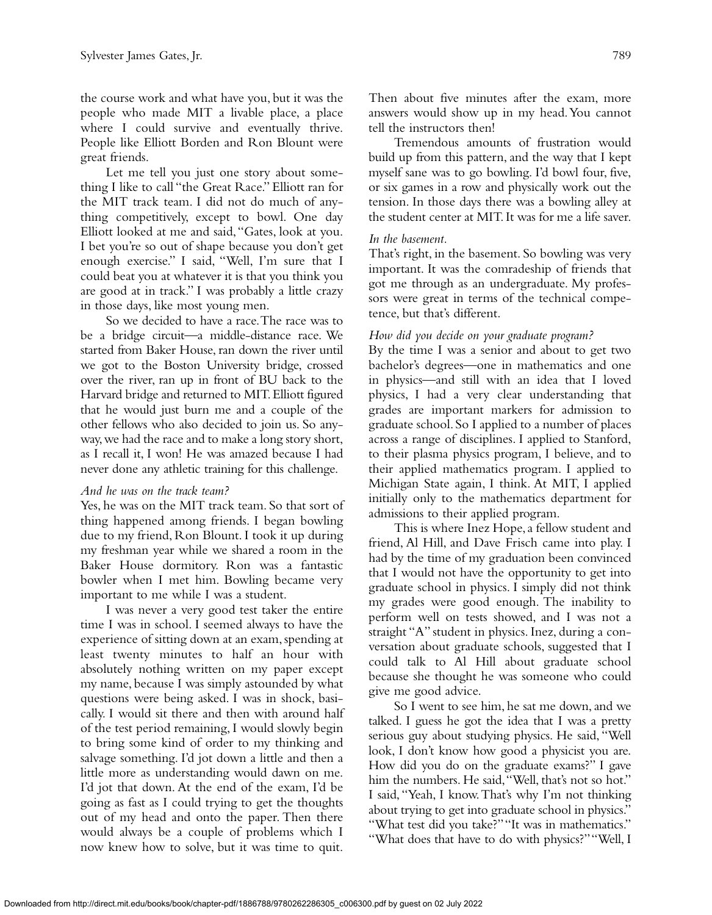the course work and what have you, but it was the people who made MIT a livable place, a place where I could survive and eventually thrive. People like Elliott Borden and Ron Blount were great friends.

Let me tell you just one story about something I like to call "the Great Race." Elliott ran for the MIT track team. I did not do much of anything competitively, except to bowl. One day Elliott looked at me and said,"Gates, look at you. I bet you're so out of shape because you don't get enough exercise." I said, "Well, I'm sure that I could beat you at whatever it is that you think you are good at in track." I was probably a little crazy in those days, like most young men.

So we decided to have a race.The race was to be a bridge circuit—a middle-distance race. We started from Baker House, ran down the river until we got to the Boston University bridge, crossed over the river, ran up in front of BU back to the Harvard bridge and returned to MIT.Elliott figured that he would just burn me and a couple of the other fellows who also decided to join us. So anyway,we had the race and to make a long story short, as I recall it, I won! He was amazed because I had never done any athletic training for this challenge.

#### *And he was on the track team?*

Yes, he was on the MIT track team. So that sort of thing happened among friends. I began bowling due to my friend, Ron Blount. I took it up during my freshman year while we shared a room in the Baker House dormitory. Ron was a fantastic bowler when I met him. Bowling became very important to me while I was a student.

I was never a very good test taker the entire time I was in school. I seemed always to have the experience of sitting down at an exam, spending at least twenty minutes to half an hour with absolutely nothing written on my paper except my name, because I was simply astounded by what questions were being asked. I was in shock, basically. I would sit there and then with around half of the test period remaining, I would slowly begin to bring some kind of order to my thinking and salvage something. I'd jot down a little and then a little more as understanding would dawn on me. I'd jot that down. At the end of the exam, I'd be going as fast as I could trying to get the thoughts out of my head and onto the paper. Then there would always be a couple of problems which I now knew how to solve, but it was time to quit.

Then about five minutes after the exam, more answers would show up in my head.You cannot tell the instructors then!

Tremendous amounts of frustration would build up from this pattern, and the way that I kept myself sane was to go bowling. I'd bowl four, five, or six games in a row and physically work out the tension. In those days there was a bowling alley at the student center at MIT.It was for me a life saver.

#### *In the basement.*

That's right, in the basement. So bowling was very important. It was the comradeship of friends that got me through as an undergraduate. My professors were great in terms of the technical competence, but that's different.

#### *How did you decide on your graduate program?*

By the time I was a senior and about to get two bachelor's degrees—one in mathematics and one in physics—and still with an idea that I loved physics, I had a very clear understanding that grades are important markers for admission to graduate school.So I applied to a number of places across a range of disciplines. I applied to Stanford, to their plasma physics program, I believe, and to their applied mathematics program. I applied to Michigan State again, I think. At MIT, I applied initially only to the mathematics department for admissions to their applied program.

This is where Inez Hope, a fellow student and friend, Al Hill, and Dave Frisch came into play. I had by the time of my graduation been convinced that I would not have the opportunity to get into graduate school in physics. I simply did not think my grades were good enough. The inability to perform well on tests showed, and I was not a straight "A" student in physics. Inez, during a conversation about graduate schools, suggested that I could talk to Al Hill about graduate school because she thought he was someone who could give me good advice.

So I went to see him, he sat me down, and we talked. I guess he got the idea that I was a pretty serious guy about studying physics. He said, "Well look, I don't know how good a physicist you are. How did you do on the graduate exams?" I gave him the numbers. He said,"Well, that's not so hot." I said,"Yeah, I know.That's why I'm not thinking about trying to get into graduate school in physics." "What test did you take?""It was in mathematics." "What does that have to do with physics?""Well, I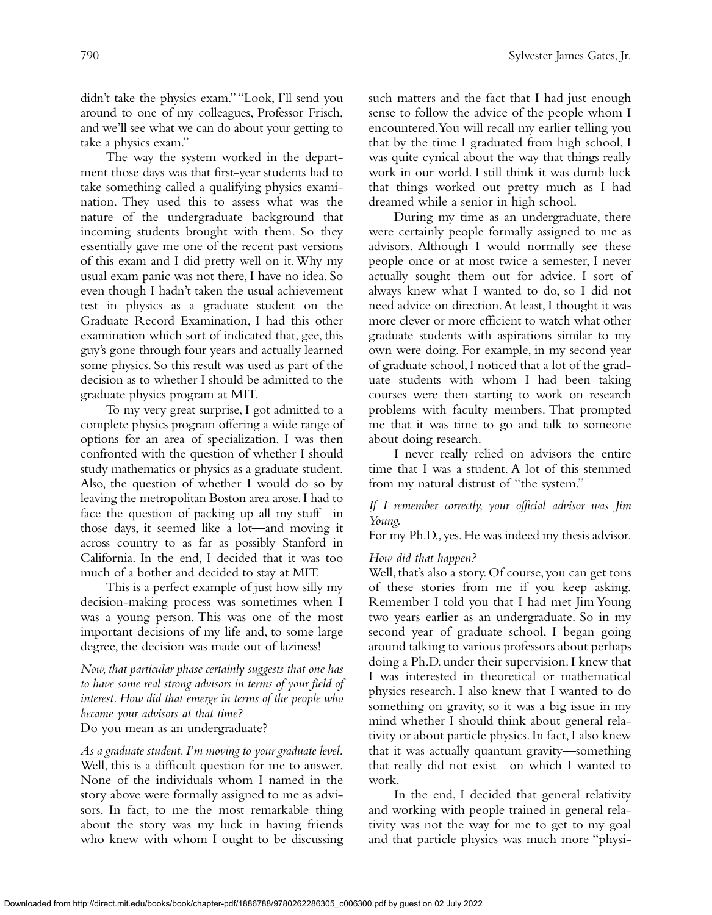didn't take the physics exam.""Look, I'll send you around to one of my colleagues, Professor Frisch, and we'll see what we can do about your getting to take a physics exam."

The way the system worked in the department those days was that first-year students had to take something called a qualifying physics examination. They used this to assess what was the nature of the undergraduate background that incoming students brought with them. So they essentially gave me one of the recent past versions of this exam and I did pretty well on it.Why my usual exam panic was not there, I have no idea. So even though I hadn't taken the usual achievement test in physics as a graduate student on the Graduate Record Examination, I had this other examination which sort of indicated that, gee, this guy's gone through four years and actually learned some physics. So this result was used as part of the decision as to whether I should be admitted to the graduate physics program at MIT.

To my very great surprise, I got admitted to a complete physics program offering a wide range of options for an area of specialization. I was then confronted with the question of whether I should study mathematics or physics as a graduate student. Also, the question of whether I would do so by leaving the metropolitan Boston area arose.I had to face the question of packing up all my stuff—in those days, it seemed like a lot—and moving it across country to as far as possibly Stanford in California. In the end, I decided that it was too much of a bother and decided to stay at MIT.

This is a perfect example of just how silly my decision-making process was sometimes when I was a young person. This was one of the most important decisions of my life and, to some large degree, the decision was made out of laziness!

*Now, that particular phase certainly suggests that one has to have some real strong advisors in terms of your field of interest. How did that emerge in terms of the people who became your advisors at that time?* Do you mean as an undergraduate?

*As a graduate student.I'm moving to your graduate level.* Well, this is a difficult question for me to answer. None of the individuals whom I named in the story above were formally assigned to me as advisors. In fact, to me the most remarkable thing about the story was my luck in having friends who knew with whom I ought to be discussing such matters and the fact that I had just enough sense to follow the advice of the people whom I encountered.You will recall my earlier telling you that by the time I graduated from high school, I was quite cynical about the way that things really work in our world. I still think it was dumb luck that things worked out pretty much as I had dreamed while a senior in high school.

During my time as an undergraduate, there were certainly people formally assigned to me as advisors. Although I would normally see these people once or at most twice a semester, I never actually sought them out for advice. I sort of always knew what I wanted to do, so I did not need advice on direction.At least, I thought it was more clever or more efficient to watch what other graduate students with aspirations similar to my own were doing. For example, in my second year of graduate school, I noticed that a lot of the graduate students with whom I had been taking courses were then starting to work on research problems with faculty members. That prompted me that it was time to go and talk to someone about doing research.

I never really relied on advisors the entire time that I was a student. A lot of this stemmed from my natural distrust of "the system."

## *If I remember correctly, your official advisor was Jim Young.*

For my Ph.D., yes. He was indeed my thesis advisor.

# *How did that happen?*

Well, that's also a story.Of course,you can get tons of these stories from me if you keep asking. Remember I told you that I had met Jim Young two years earlier as an undergraduate. So in my second year of graduate school, I began going around talking to various professors about perhaps doing a Ph.D. under their supervision. I knew that I was interested in theoretical or mathematical physics research. I also knew that I wanted to do something on gravity, so it was a big issue in my mind whether I should think about general relativity or about particle physics. In fact, I also knew that it was actually quantum gravity—something that really did not exist—on which I wanted to work.

In the end, I decided that general relativity and working with people trained in general relativity was not the way for me to get to my goal and that particle physics was much more "physi-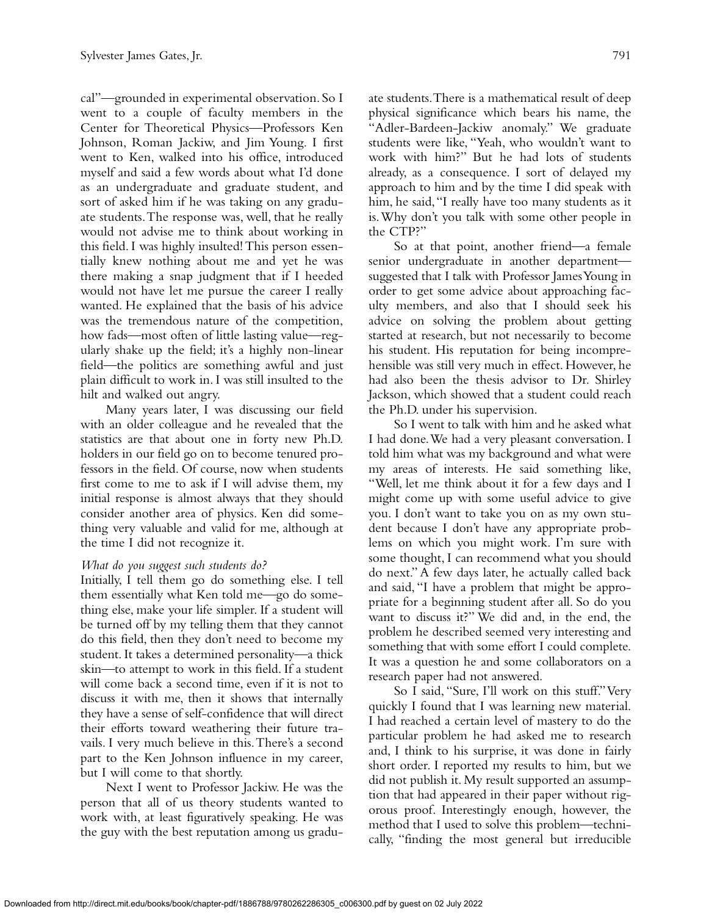cal"—grounded in experimental observation. So I went to a couple of faculty members in the Center for Theoretical Physics—Professors Ken Johnson, Roman Jackiw, and Jim Young. I first went to Ken, walked into his office, introduced myself and said a few words about what I'd done as an undergraduate and graduate student, and sort of asked him if he was taking on any graduate students.The response was, well, that he really would not advise me to think about working in this field. I was highly insulted! This person essentially knew nothing about me and yet he was there making a snap judgment that if I heeded would not have let me pursue the career I really wanted. He explained that the basis of his advice was the tremendous nature of the competition, how fads—most often of little lasting value—regularly shake up the field; it's a highly non-linear field—the politics are something awful and just plain difficult to work in. I was still insulted to the hilt and walked out angry.

Many years later, I was discussing our field with an older colleague and he revealed that the statistics are that about one in forty new Ph.D. holders in our field go on to become tenured professors in the field. Of course, now when students first come to me to ask if I will advise them, my initial response is almost always that they should consider another area of physics. Ken did something very valuable and valid for me, although at the time I did not recognize it.

## *What do you suggest such students do?*

Initially, I tell them go do something else. I tell them essentially what Ken told me—go do something else, make your life simpler. If a student will be turned off by my telling them that they cannot do this field, then they don't need to become my student. It takes a determined personality—a thick skin—to attempt to work in this field. If a student will come back a second time, even if it is not to discuss it with me, then it shows that internally they have a sense of self-confidence that will direct their efforts toward weathering their future travails. I very much believe in this.There's a second part to the Ken Johnson influence in my career, but I will come to that shortly.

Next I went to Professor Jackiw. He was the person that all of us theory students wanted to work with, at least figuratively speaking. He was the guy with the best reputation among us graduate students.There is a mathematical result of deep physical significance which bears his name, the "Adler-Bardeen-Jackiw anomaly." We graduate students were like, "Yeah, who wouldn't want to work with him?" But he had lots of students already, as a consequence. I sort of delayed my approach to him and by the time I did speak with him, he said,"I really have too many students as it is.Why don't you talk with some other people in the CTP?"

So at that point, another friend—a female senior undergraduate in another department suggested that I talk with Professor James Young in order to get some advice about approaching faculty members, and also that I should seek his advice on solving the problem about getting started at research, but not necessarily to become his student. His reputation for being incomprehensible was still very much in effect. However, he had also been the thesis advisor to Dr. Shirley Jackson, which showed that a student could reach the Ph.D. under his supervision.

So I went to talk with him and he asked what I had done.We had a very pleasant conversation. I told him what was my background and what were my areas of interests. He said something like, "Well, let me think about it for a few days and I might come up with some useful advice to give you. I don't want to take you on as my own student because I don't have any appropriate problems on which you might work. I'm sure with some thought, I can recommend what you should do next." A few days later, he actually called back and said, "I have a problem that might be appropriate for a beginning student after all. So do you want to discuss it?" We did and, in the end, the problem he described seemed very interesting and something that with some effort I could complete. It was a question he and some collaborators on a research paper had not answered.

So I said, "Sure, I'll work on this stuff."Very quickly I found that I was learning new material. I had reached a certain level of mastery to do the particular problem he had asked me to research and, I think to his surprise, it was done in fairly short order. I reported my results to him, but we did not publish it. My result supported an assumption that had appeared in their paper without rigorous proof. Interestingly enough, however, the method that I used to solve this problem—technically, "finding the most general but irreducible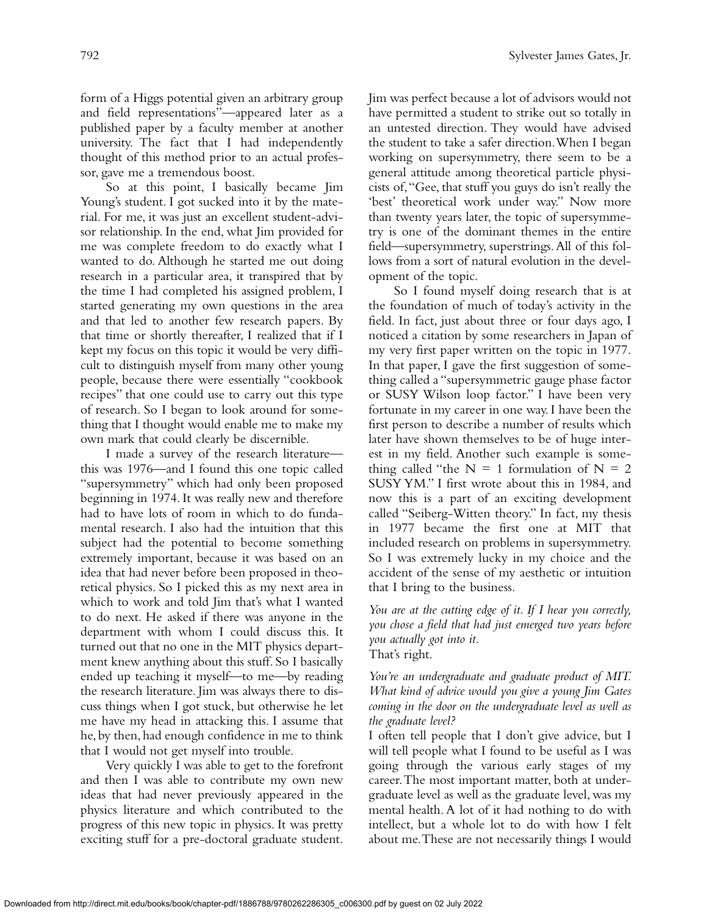form of a Higgs potential given an arbitrary group and field representations"—appeared later as a published paper by a faculty member at another university. The fact that I had independently thought of this method prior to an actual professor, gave me a tremendous boost.

So at this point, I basically became Jim Young's student. I got sucked into it by the material. For me, it was just an excellent student-advisor relationship. In the end, what Jim provided for me was complete freedom to do exactly what I wanted to do. Although he started me out doing research in a particular area, it transpired that by the time I had completed his assigned problem, I started generating my own questions in the area and that led to another few research papers. By that time or shortly thereafter, I realized that if I kept my focus on this topic it would be very difficult to distinguish myself from many other young people, because there were essentially "cookbook recipes" that one could use to carry out this type of research. So I began to look around for something that I thought would enable me to make my own mark that could clearly be discernible.

I made a survey of the research literature this was 1976—and I found this one topic called "supersymmetry" which had only been proposed beginning in 1974. It was really new and therefore had to have lots of room in which to do fundamental research. I also had the intuition that this subject had the potential to become something extremely important, because it was based on an idea that had never before been proposed in theoretical physics. So I picked this as my next area in which to work and told Jim that's what I wanted to do next. He asked if there was anyone in the department with whom I could discuss this. It turned out that no one in the MIT physics department knew anything about this stuff. So I basically ended up teaching it myself—to me—by reading the research literature. Jim was always there to discuss things when I got stuck, but otherwise he let me have my head in attacking this. I assume that he, by then, had enough confidence in me to think that I would not get myself into trouble.

Very quickly I was able to get to the forefront and then I was able to contribute my own new ideas that had never previously appeared in the physics literature and which contributed to the progress of this new topic in physics. It was pretty exciting stuff for a pre-doctoral graduate student. Jim was perfect because a lot of advisors would not have permitted a student to strike out so totally in an untested direction. They would have advised the student to take a safer direction.When I began working on supersymmetry, there seem to be a general attitude among theoretical particle physicists of,"Gee, that stuff you guys do isn't really the 'best' theoretical work under way." Now more than twenty years later, the topic of supersymmetry is one of the dominant themes in the entire field—supersymmetry, superstrings.All of this follows from a sort of natural evolution in the development of the topic.

So I found myself doing research that is at the foundation of much of today's activity in the field. In fact, just about three or four days ago, I noticed a citation by some researchers in Japan of my very first paper written on the topic in 1977. In that paper, I gave the first suggestion of something called a "supersymmetric gauge phase factor or SUSY Wilson loop factor." I have been very fortunate in my career in one way. I have been the first person to describe a number of results which later have shown themselves to be of huge interest in my field. Another such example is something called "the  $N = 1$  formulation of  $N = 2$ SUSY YM." I first wrote about this in 1984, and now this is a part of an exciting development called "Seiberg-Witten theory." In fact, my thesis in 1977 became the first one at MIT that included research on problems in supersymmetry. So I was extremely lucky in my choice and the accident of the sense of my aesthetic or intuition that I bring to the business.

*You are at the cutting edge of it. If I hear you correctly, you chose a field that had just emerged two years before you actually got into it.* That's right.

*You're an undergraduate and graduate product of MIT. What kind of advice would you give a young Jim Gates coming in the door on the undergraduate level as well as the graduate level?*

I often tell people that I don't give advice, but I will tell people what I found to be useful as I was going through the various early stages of my career.The most important matter, both at undergraduate level as well as the graduate level, was my mental health. A lot of it had nothing to do with intellect, but a whole lot to do with how I felt about me.These are not necessarily things I would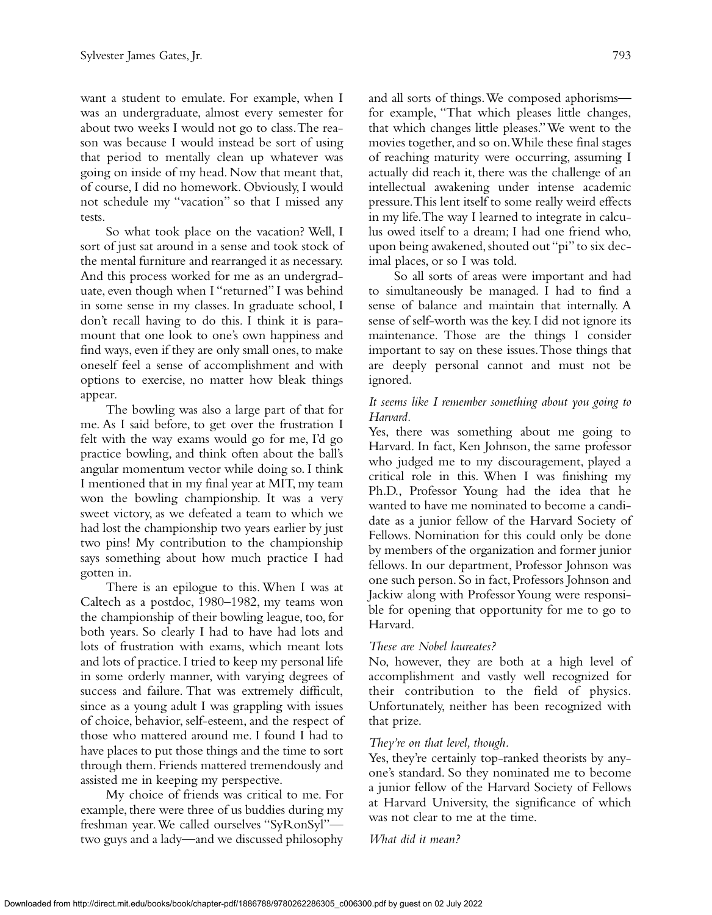want a student to emulate. For example, when I was an undergraduate, almost every semester for about two weeks I would not go to class.The reason was because I would instead be sort of using that period to mentally clean up whatever was going on inside of my head. Now that meant that, of course, I did no homework. Obviously, I would not schedule my "vacation" so that I missed any tests.

So what took place on the vacation? Well, I sort of just sat around in a sense and took stock of the mental furniture and rearranged it as necessary. And this process worked for me as an undergraduate, even though when I "returned" I was behind in some sense in my classes. In graduate school, I don't recall having to do this. I think it is paramount that one look to one's own happiness and find ways, even if they are only small ones, to make oneself feel a sense of accomplishment and with options to exercise, no matter how bleak things appear.

The bowling was also a large part of that for me. As I said before, to get over the frustration I felt with the way exams would go for me, I'd go practice bowling, and think often about the ball's angular momentum vector while doing so. I think I mentioned that in my final year at MIT, my team won the bowling championship. It was a very sweet victory, as we defeated a team to which we had lost the championship two years earlier by just two pins! My contribution to the championship says something about how much practice I had gotten in.

There is an epilogue to this. When I was at Caltech as a postdoc, 1980–1982, my teams won the championship of their bowling league, too, for both years. So clearly I had to have had lots and lots of frustration with exams, which meant lots and lots of practice. I tried to keep my personal life in some orderly manner, with varying degrees of success and failure. That was extremely difficult, since as a young adult I was grappling with issues of choice, behavior, self-esteem, and the respect of those who mattered around me. I found I had to have places to put those things and the time to sort through them. Friends mattered tremendously and assisted me in keeping my perspective.

My choice of friends was critical to me. For example, there were three of us buddies during my freshman year.We called ourselves "SyRonSyl" two guys and a lady—and we discussed philosophy and all sorts of things.We composed aphorisms for example, "That which pleases little changes, that which changes little pleases."We went to the movies together, and so on.While these final stages of reaching maturity were occurring, assuming I actually did reach it, there was the challenge of an intellectual awakening under intense academic pressure.This lent itself to some really weird effects in my life.The way I learned to integrate in calculus owed itself to a dream; I had one friend who, upon being awakened, shouted out "pi" to six decimal places, or so I was told.

So all sorts of areas were important and had to simultaneously be managed. I had to find a sense of balance and maintain that internally. A sense of self-worth was the key. I did not ignore its maintenance. Those are the things I consider important to say on these issues.Those things that are deeply personal cannot and must not be ignored.

### *It seems like I remember something about you going to Harvard.*

Yes, there was something about me going to Harvard. In fact, Ken Johnson, the same professor who judged me to my discouragement, played a critical role in this. When I was finishing my Ph.D., Professor Young had the idea that he wanted to have me nominated to become a candidate as a junior fellow of the Harvard Society of Fellows. Nomination for this could only be done by members of the organization and former junior fellows. In our department, Professor Johnson was one such person.So in fact,Professors Johnson and Jackiw along with Professor Young were responsible for opening that opportunity for me to go to Harvard.

### *These are Nobel laureates?*

No, however, they are both at a high level of accomplishment and vastly well recognized for their contribution to the field of physics. Unfortunately, neither has been recognized with that prize.

### *They're on that level, though.*

Yes, they're certainly top-ranked theorists by anyone's standard. So they nominated me to become a junior fellow of the Harvard Society of Fellows at Harvard University, the significance of which was not clear to me at the time.

*What did it mean?*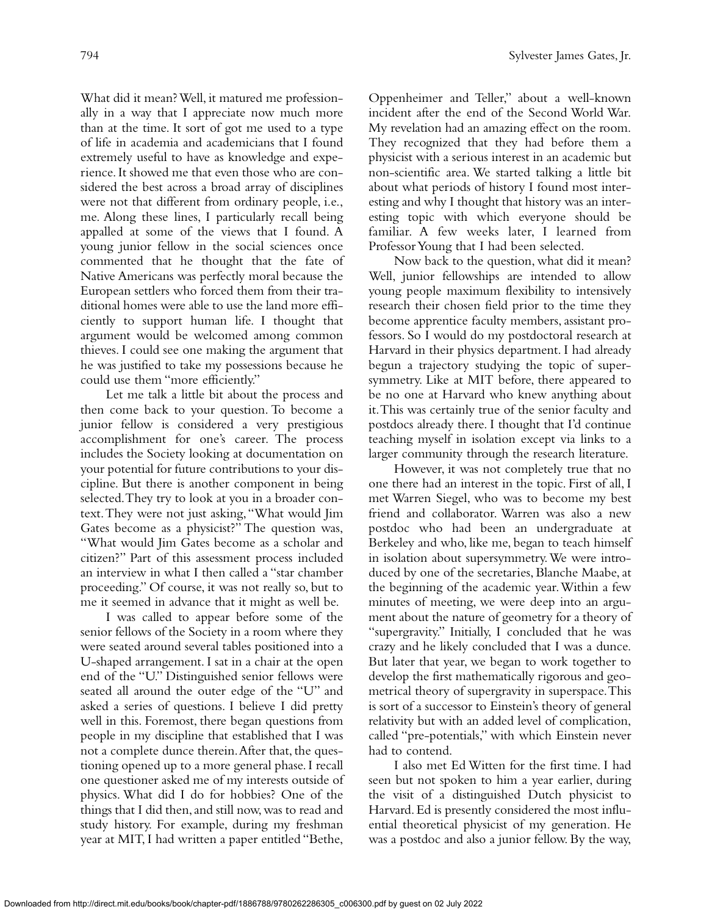What did it mean? Well, it matured me professionally in a way that I appreciate now much more than at the time. It sort of got me used to a type of life in academia and academicians that I found extremely useful to have as knowledge and experience. It showed me that even those who are considered the best across a broad array of disciplines were not that different from ordinary people, i.e., me. Along these lines, I particularly recall being appalled at some of the views that I found. A young junior fellow in the social sciences once commented that he thought that the fate of Native Americans was perfectly moral because the European settlers who forced them from their traditional homes were able to use the land more efficiently to support human life. I thought that argument would be welcomed among common thieves. I could see one making the argument that he was justified to take my possessions because he could use them "more efficiently."

Let me talk a little bit about the process and then come back to your question. To become a junior fellow is considered a very prestigious accomplishment for one's career. The process includes the Society looking at documentation on your potential for future contributions to your discipline. But there is another component in being selected.They try to look at you in a broader context.They were not just asking,"What would Jim Gates become as a physicist?" The question was, "What would Jim Gates become as a scholar and citizen?" Part of this assessment process included an interview in what I then called a "star chamber proceeding." Of course, it was not really so, but to me it seemed in advance that it might as well be.

I was called to appear before some of the senior fellows of the Society in a room where they were seated around several tables positioned into a U-shaped arrangement. I sat in a chair at the open end of the "U." Distinguished senior fellows were seated all around the outer edge of the "U" and asked a series of questions. I believe I did pretty well in this. Foremost, there began questions from people in my discipline that established that I was not a complete dunce therein.After that, the questioning opened up to a more general phase. I recall one questioner asked me of my interests outside of physics. What did I do for hobbies? One of the things that I did then, and still now, was to read and study history. For example, during my freshman year at MIT, I had written a paper entitled "Bethe,

Oppenheimer and Teller," about a well-known incident after the end of the Second World War. My revelation had an amazing effect on the room. They recognized that they had before them a physicist with a serious interest in an academic but non-scientific area. We started talking a little bit about what periods of history I found most interesting and why I thought that history was an interesting topic with which everyone should be familiar. A few weeks later, I learned from Professor Young that I had been selected.

Now back to the question, what did it mean? Well, junior fellowships are intended to allow young people maximum flexibility to intensively research their chosen field prior to the time they become apprentice faculty members, assistant professors. So I would do my postdoctoral research at Harvard in their physics department. I had already begun a trajectory studying the topic of supersymmetry. Like at MIT before, there appeared to be no one at Harvard who knew anything about it.This was certainly true of the senior faculty and postdocs already there. I thought that I'd continue teaching myself in isolation except via links to a larger community through the research literature.

However, it was not completely true that no one there had an interest in the topic. First of all, I met Warren Siegel, who was to become my best friend and collaborator. Warren was also a new postdoc who had been an undergraduate at Berkeley and who, like me, began to teach himself in isolation about supersymmetry.We were introduced by one of the secretaries, Blanche Maabe, at the beginning of the academic year.Within a few minutes of meeting, we were deep into an argument about the nature of geometry for a theory of "supergravity." Initially, I concluded that he was crazy and he likely concluded that I was a dunce. But later that year, we began to work together to develop the first mathematically rigorous and geometrical theory of supergravity in superspace.This is sort of a successor to Einstein's theory of general relativity but with an added level of complication, called "pre-potentials," with which Einstein never had to contend.

I also met Ed Witten for the first time. I had seen but not spoken to him a year earlier, during the visit of a distinguished Dutch physicist to Harvard.Ed is presently considered the most influential theoretical physicist of my generation. He was a postdoc and also a junior fellow. By the way,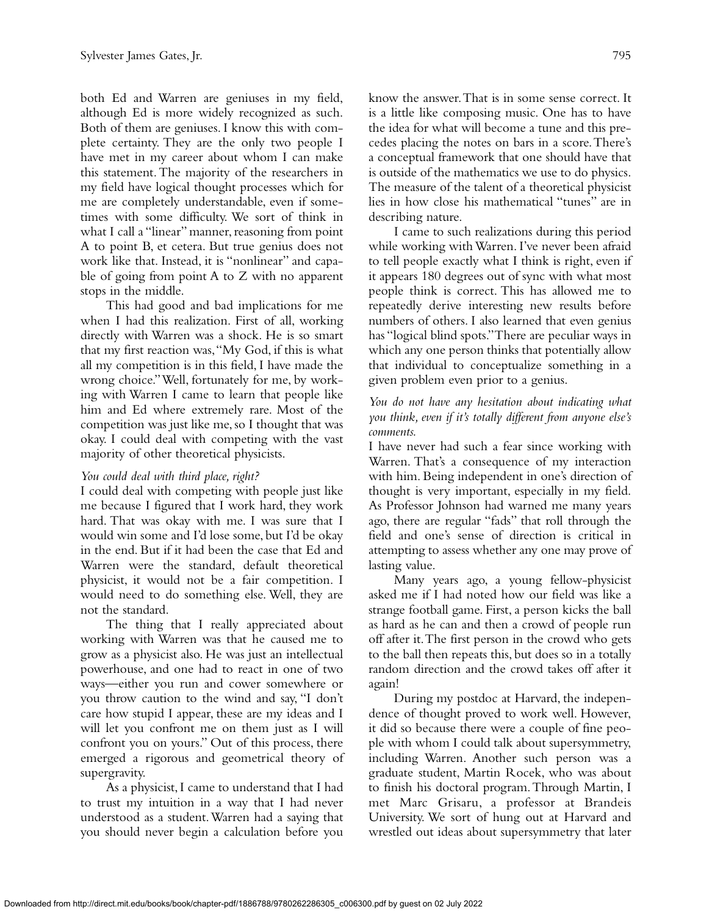both Ed and Warren are geniuses in my field, although Ed is more widely recognized as such. Both of them are geniuses. I know this with complete certainty. They are the only two people I have met in my career about whom I can make this statement.The majority of the researchers in my field have logical thought processes which for me are completely understandable, even if sometimes with some difficulty. We sort of think in what I call a "linear" manner, reasoning from point A to point B, et cetera. But true genius does not work like that. Instead, it is "nonlinear" and capable of going from point A to Z with no apparent stops in the middle.

This had good and bad implications for me when I had this realization. First of all, working directly with Warren was a shock. He is so smart that my first reaction was,"My God, if this is what all my competition is in this field, I have made the wrong choice."Well, fortunately for me, by working with Warren I came to learn that people like him and Ed where extremely rare. Most of the competition was just like me, so I thought that was okay. I could deal with competing with the vast majority of other theoretical physicists.

### *You could deal with third place, right?*

I could deal with competing with people just like me because I figured that I work hard, they work hard. That was okay with me. I was sure that I would win some and I'd lose some, but I'd be okay in the end. But if it had been the case that Ed and Warren were the standard, default theoretical physicist, it would not be a fair competition. I would need to do something else. Well, they are not the standard.

The thing that I really appreciated about working with Warren was that he caused me to grow as a physicist also. He was just an intellectual powerhouse, and one had to react in one of two ways—either you run and cower somewhere or you throw caution to the wind and say, "I don't care how stupid I appear, these are my ideas and I will let you confront me on them just as I will confront you on yours." Out of this process, there emerged a rigorous and geometrical theory of supergravity.

As a physicist, I came to understand that I had to trust my intuition in a way that I had never understood as a student.Warren had a saying that you should never begin a calculation before you know the answer.That is in some sense correct. It is a little like composing music. One has to have the idea for what will become a tune and this precedes placing the notes on bars in a score.There's a conceptual framework that one should have that is outside of the mathematics we use to do physics. The measure of the talent of a theoretical physicist lies in how close his mathematical "tunes" are in describing nature.

I came to such realizations during this period while working with Warren. I've never been afraid to tell people exactly what I think is right, even if it appears 180 degrees out of sync with what most people think is correct. This has allowed me to repeatedly derive interesting new results before numbers of others. I also learned that even genius has "logical blind spots."There are peculiar ways in which any one person thinks that potentially allow that individual to conceptualize something in a given problem even prior to a genius.

# *You do not have any hesitation about indicating what you think, even if it's totally different from anyone else's comments.*

I have never had such a fear since working with Warren. That's a consequence of my interaction with him. Being independent in one's direction of thought is very important, especially in my field. As Professor Johnson had warned me many years ago, there are regular "fads" that roll through the field and one's sense of direction is critical in attempting to assess whether any one may prove of lasting value.

Many years ago, a young fellow-physicist asked me if I had noted how our field was like a strange football game. First, a person kicks the ball as hard as he can and then a crowd of people run off after it.The first person in the crowd who gets to the ball then repeats this, but does so in a totally random direction and the crowd takes off after it again!

During my postdoc at Harvard, the independence of thought proved to work well. However, it did so because there were a couple of fine people with whom I could talk about supersymmetry, including Warren. Another such person was a graduate student, Martin Rocek, who was about to finish his doctoral program.Through Martin, I met Marc Grisaru, a professor at Brandeis University. We sort of hung out at Harvard and wrestled out ideas about supersymmetry that later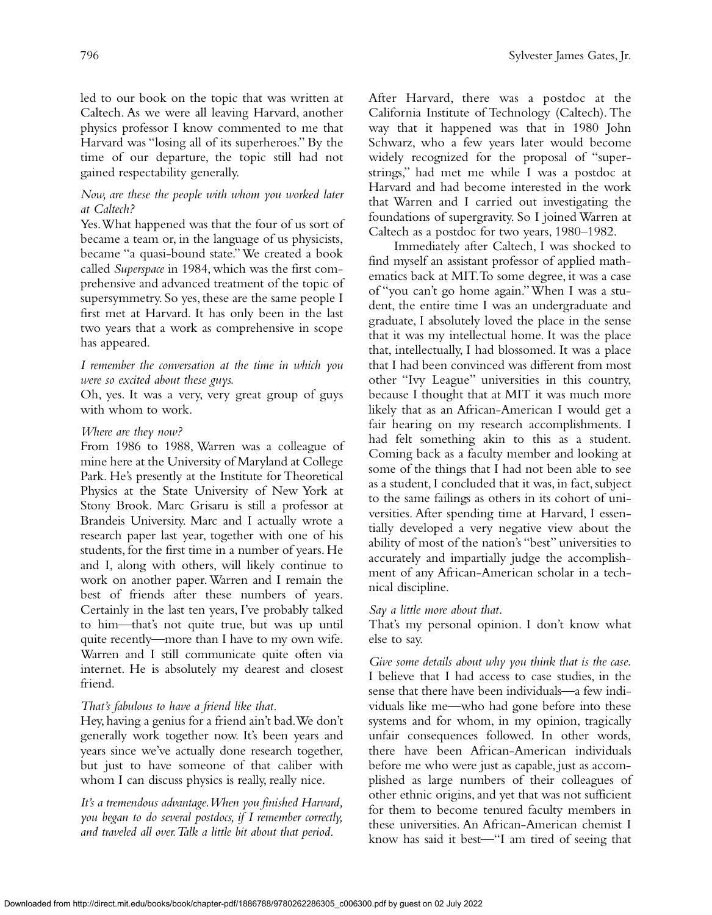led to our book on the topic that was written at Caltech. As we were all leaving Harvard, another physics professor I know commented to me that Harvard was "losing all of its superheroes." By the time of our departure, the topic still had not gained respectability generally.

## *Now, are these the people with whom you worked later at Caltech?*

Yes.What happened was that the four of us sort of became a team or, in the language of us physicists, became "a quasi-bound state."We created a book called *Superspace* in 1984, which was the first comprehensive and advanced treatment of the topic of supersymmetry. So yes, these are the same people I first met at Harvard. It has only been in the last two years that a work as comprehensive in scope has appeared.

## *I remember the conversation at the time in which you were so excited about these guys.*

Oh, yes. It was a very, very great group of guys with whom to work.

### *Where are they now?*

From 1986 to 1988, Warren was a colleague of mine here at the University of Maryland at College Park. He's presently at the Institute for Theoretical Physics at the State University of New York at Stony Brook. Marc Grisaru is still a professor at Brandeis University. Marc and I actually wrote a research paper last year, together with one of his students, for the first time in a number of years. He and I, along with others, will likely continue to work on another paper. Warren and I remain the best of friends after these numbers of years. Certainly in the last ten years, I've probably talked to him—that's not quite true, but was up until quite recently—more than I have to my own wife. Warren and I still communicate quite often via internet. He is absolutely my dearest and closest friend.

### *That's fabulous to have a friend like that.*

Hey, having a genius for a friend ain't bad. We don't generally work together now. It's been years and years since we've actually done research together, but just to have someone of that caliber with whom I can discuss physics is really, really nice.

*It's a tremendous advantage.When you finished Harvard, you began to do several postdocs, if I remember correctly, and traveled all over.Talk a little bit about that period.*

After Harvard, there was a postdoc at the California Institute of Technology (Caltech). The way that it happened was that in 1980 John Schwarz, who a few years later would become widely recognized for the proposal of "superstrings," had met me while I was a postdoc at Harvard and had become interested in the work that Warren and I carried out investigating the foundations of supergravity. So I joined Warren at Caltech as a postdoc for two years, 1980–1982.

Immediately after Caltech, I was shocked to find myself an assistant professor of applied mathematics back at MIT.To some degree, it was a case of "you can't go home again."When I was a student, the entire time I was an undergraduate and graduate, I absolutely loved the place in the sense that it was my intellectual home. It was the place that, intellectually, I had blossomed. It was a place that I had been convinced was different from most other "Ivy League" universities in this country, because I thought that at MIT it was much more likely that as an African-American I would get a fair hearing on my research accomplishments. I had felt something akin to this as a student. Coming back as a faculty member and looking at some of the things that I had not been able to see as a student, I concluded that it was, in fact, subject to the same failings as others in its cohort of universities. After spending time at Harvard, I essentially developed a very negative view about the ability of most of the nation's "best" universities to accurately and impartially judge the accomplishment of any African-American scholar in a technical discipline.

#### *Say a little more about that.*

That's my personal opinion. I don't know what else to say.

*Give some details about why you think that is the case.* I believe that I had access to case studies, in the sense that there have been individuals—a few individuals like me—who had gone before into these systems and for whom, in my opinion, tragically unfair consequences followed. In other words, there have been African-American individuals before me who were just as capable, just as accomplished as large numbers of their colleagues of other ethnic origins, and yet that was not sufficient for them to become tenured faculty members in these universities. An African-American chemist I know has said it best—"I am tired of seeing that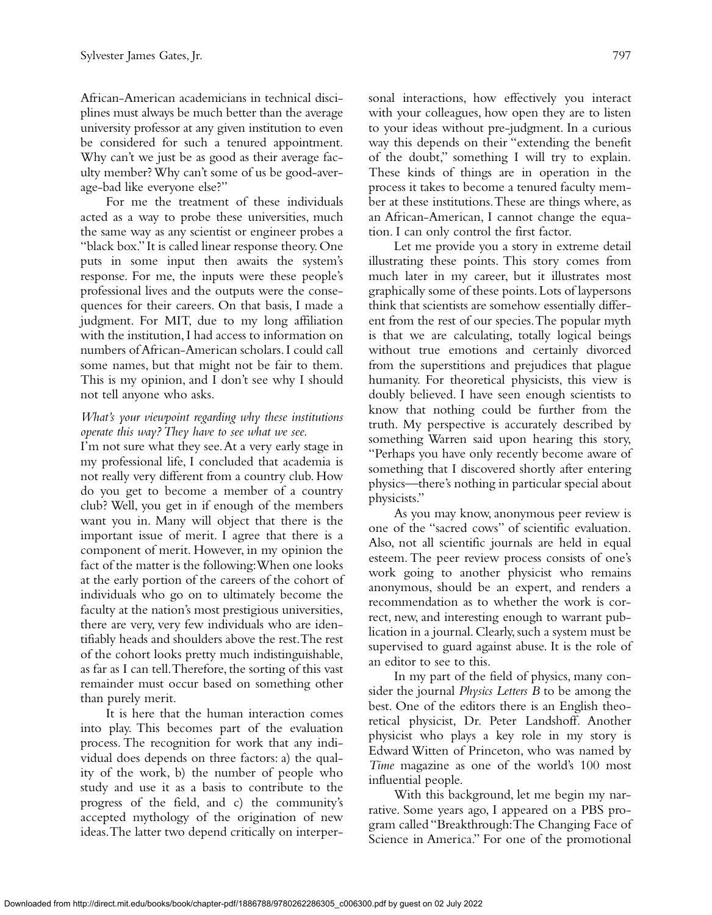African-American academicians in technical disciplines must always be much better than the average university professor at any given institution to even be considered for such a tenured appointment. Why can't we just be as good as their average faculty member? Why can't some of us be good-average-bad like everyone else?"

For me the treatment of these individuals acted as a way to probe these universities, much the same way as any scientist or engineer probes a "black box."It is called linear response theory.One puts in some input then awaits the system's response. For me, the inputs were these people's professional lives and the outputs were the consequences for their careers. On that basis, I made a judgment. For MIT, due to my long affiliation with the institution,I had access to information on numbers of African-American scholars.I could call some names, but that might not be fair to them. This is my opinion, and I don't see why I should not tell anyone who asks.

## *What's your viewpoint regarding why these institutions operate this way? They have to see what we see.*

I'm not sure what they see.At a very early stage in my professional life, I concluded that academia is not really very different from a country club. How do you get to become a member of a country club? Well, you get in if enough of the members want you in. Many will object that there is the important issue of merit. I agree that there is a component of merit. However, in my opinion the fact of the matter is the following:When one looks at the early portion of the careers of the cohort of individuals who go on to ultimately become the faculty at the nation's most prestigious universities, there are very, very few individuals who are identifiably heads and shoulders above the rest.The rest of the cohort looks pretty much indistinguishable, as far as I can tell.Therefore, the sorting of this vast remainder must occur based on something other than purely merit.

It is here that the human interaction comes into play. This becomes part of the evaluation process. The recognition for work that any individual does depends on three factors: a) the quality of the work, b) the number of people who study and use it as a basis to contribute to the progress of the field, and c) the community's accepted mythology of the origination of new ideas.The latter two depend critically on interpersonal interactions, how effectively you interact with your colleagues, how open they are to listen to your ideas without pre-judgment. In a curious way this depends on their "extending the benefit of the doubt," something I will try to explain. These kinds of things are in operation in the process it takes to become a tenured faculty member at these institutions.These are things where, as an African-American, I cannot change the equation. I can only control the first factor.

Let me provide you a story in extreme detail illustrating these points. This story comes from much later in my career, but it illustrates most graphically some of these points.Lots of laypersons think that scientists are somehow essentially different from the rest of our species.The popular myth is that we are calculating, totally logical beings without true emotions and certainly divorced from the superstitions and prejudices that plague humanity. For theoretical physicists, this view is doubly believed. I have seen enough scientists to know that nothing could be further from the truth. My perspective is accurately described by something Warren said upon hearing this story, "Perhaps you have only recently become aware of something that I discovered shortly after entering physics—there's nothing in particular special about physicists."

As you may know, anonymous peer review is one of the "sacred cows" of scientific evaluation. Also, not all scientific journals are held in equal esteem. The peer review process consists of one's work going to another physicist who remains anonymous, should be an expert, and renders a recommendation as to whether the work is correct, new, and interesting enough to warrant publication in a journal. Clearly, such a system must be supervised to guard against abuse. It is the role of an editor to see to this.

In my part of the field of physics, many consider the journal *Physics Letters B* to be among the best. One of the editors there is an English theoretical physicist, Dr. Peter Landshoff. Another physicist who plays a key role in my story is Edward Witten of Princeton, who was named by *Time* magazine as one of the world's 100 most influential people.

With this background, let me begin my narrative. Some years ago, I appeared on a PBS program called "Breakthrough:The Changing Face of Science in America." For one of the promotional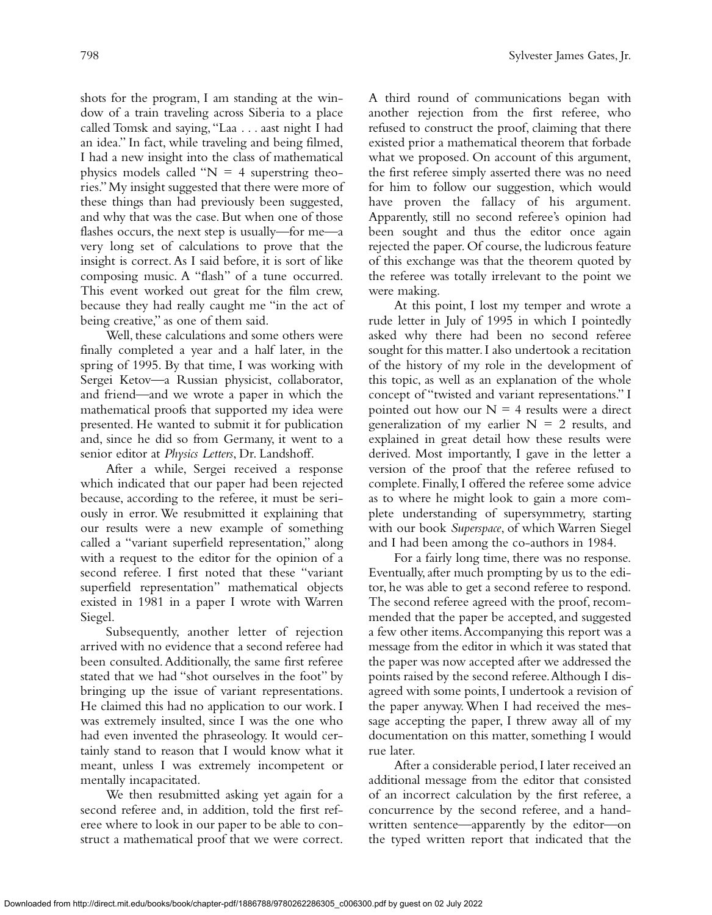shots for the program, I am standing at the window of a train traveling across Siberia to a place called Tomsk and saying,"Laa . . . aast night I had an idea." In fact, while traveling and being filmed, I had a new insight into the class of mathematical physics models called " $N = 4$  superstring theories."My insight suggested that there were more of these things than had previously been suggested, and why that was the case. But when one of those flashes occurs, the next step is usually—for me—a very long set of calculations to prove that the insight is correct. As I said before, it is sort of like composing music. A "flash" of a tune occurred. This event worked out great for the film crew, because they had really caught me "in the act of being creative," as one of them said.

Well, these calculations and some others were finally completed a year and a half later, in the spring of 1995. By that time, I was working with Sergei Ketov—a Russian physicist, collaborator, and friend—and we wrote a paper in which the mathematical proofs that supported my idea were presented. He wanted to submit it for publication and, since he did so from Germany, it went to a senior editor at *Physics Letters*, Dr. Landshoff.

After a while, Sergei received a response which indicated that our paper had been rejected because, according to the referee, it must be seriously in error. We resubmitted it explaining that our results were a new example of something called a "variant superfield representation," along with a request to the editor for the opinion of a second referee. I first noted that these "variant superfield representation" mathematical objects existed in 1981 in a paper I wrote with Warren Siegel.

Subsequently, another letter of rejection arrived with no evidence that a second referee had been consulted.Additionally, the same first referee stated that we had "shot ourselves in the foot" by bringing up the issue of variant representations. He claimed this had no application to our work. I was extremely insulted, since I was the one who had even invented the phraseology. It would certainly stand to reason that I would know what it meant, unless I was extremely incompetent or mentally incapacitated.

We then resubmitted asking yet again for a second referee and, in addition, told the first referee where to look in our paper to be able to construct a mathematical proof that we were correct.

A third round of communications began with another rejection from the first referee, who refused to construct the proof, claiming that there existed prior a mathematical theorem that forbade what we proposed. On account of this argument, the first referee simply asserted there was no need for him to follow our suggestion, which would have proven the fallacy of his argument. Apparently, still no second referee's opinion had been sought and thus the editor once again rejected the paper. Of course, the ludicrous feature of this exchange was that the theorem quoted by the referee was totally irrelevant to the point we were making.

At this point, I lost my temper and wrote a rude letter in July of 1995 in which I pointedly asked why there had been no second referee sought for this matter.I also undertook a recitation of the history of my role in the development of this topic, as well as an explanation of the whole concept of "twisted and variant representations." I pointed out how our  $N = 4$  results were a direct generalization of my earlier  $N = 2$  results, and explained in great detail how these results were derived. Most importantly, I gave in the letter a version of the proof that the referee refused to complete. Finally, I offered the referee some advice as to where he might look to gain a more complete understanding of supersymmetry, starting with our book *Superspace*, of which Warren Siegel and I had been among the co-authors in 1984.

For a fairly long time, there was no response. Eventually, after much prompting by us to the editor, he was able to get a second referee to respond. The second referee agreed with the proof, recommended that the paper be accepted, and suggested a few other items.Accompanying this report was a message from the editor in which it was stated that the paper was now accepted after we addressed the points raised by the second referee.Although I disagreed with some points, I undertook a revision of the paper anyway.When I had received the message accepting the paper, I threw away all of my documentation on this matter, something I would rue later.

After a considerable period,I later received an additional message from the editor that consisted of an incorrect calculation by the first referee, a concurrence by the second referee, and a handwritten sentence—apparently by the editor—on the typed written report that indicated that the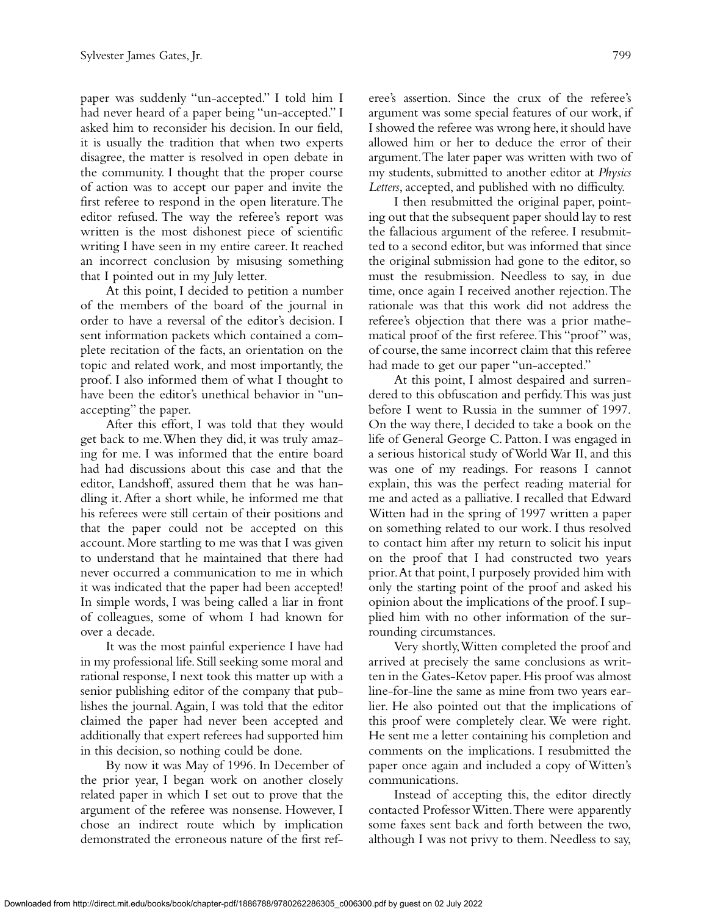paper was suddenly "un-accepted." I told him I had never heard of a paper being "un-accepted." I asked him to reconsider his decision. In our field, it is usually the tradition that when two experts disagree, the matter is resolved in open debate in the community. I thought that the proper course of action was to accept our paper and invite the first referee to respond in the open literature.The editor refused. The way the referee's report was written is the most dishonest piece of scientific writing I have seen in my entire career. It reached an incorrect conclusion by misusing something that I pointed out in my July letter.

At this point, I decided to petition a number of the members of the board of the journal in order to have a reversal of the editor's decision. I sent information packets which contained a complete recitation of the facts, an orientation on the topic and related work, and most importantly, the proof. I also informed them of what I thought to have been the editor's unethical behavior in "unaccepting" the paper.

After this effort, I was told that they would get back to me.When they did, it was truly amazing for me. I was informed that the entire board had had discussions about this case and that the editor, Landshoff, assured them that he was handling it. After a short while, he informed me that his referees were still certain of their positions and that the paper could not be accepted on this account. More startling to me was that I was given to understand that he maintained that there had never occurred a communication to me in which it was indicated that the paper had been accepted! In simple words, I was being called a liar in front of colleagues, some of whom I had known for over a decade.

It was the most painful experience I have had in my professional life.Still seeking some moral and rational response, I next took this matter up with a senior publishing editor of the company that publishes the journal.Again, I was told that the editor claimed the paper had never been accepted and additionally that expert referees had supported him in this decision, so nothing could be done.

By now it was May of 1996. In December of the prior year, I began work on another closely related paper in which I set out to prove that the argument of the referee was nonsense. However, I chose an indirect route which by implication demonstrated the erroneous nature of the first referee's assertion. Since the crux of the referee's argument was some special features of our work, if I showed the referee was wrong here, it should have allowed him or her to deduce the error of their argument.The later paper was written with two of my students, submitted to another editor at *Physics Letters*, accepted, and published with no difficulty.

I then resubmitted the original paper, pointing out that the subsequent paper should lay to rest the fallacious argument of the referee. I resubmitted to a second editor, but was informed that since the original submission had gone to the editor, so must the resubmission. Needless to say, in due time, once again I received another rejection.The rationale was that this work did not address the referee's objection that there was a prior mathematical proof of the first referee.This "proof" was, of course, the same incorrect claim that this referee had made to get our paper "un-accepted."

At this point, I almost despaired and surrendered to this obfuscation and perfidy.This was just before I went to Russia in the summer of 1997. On the way there, I decided to take a book on the life of General George C. Patton. I was engaged in a serious historical study of World War II, and this was one of my readings. For reasons I cannot explain, this was the perfect reading material for me and acted as a palliative. I recalled that Edward Witten had in the spring of 1997 written a paper on something related to our work. I thus resolved to contact him after my return to solicit his input on the proof that I had constructed two years prior.At that point, I purposely provided him with only the starting point of the proof and asked his opinion about the implications of the proof. I supplied him with no other information of the surrounding circumstances.

Very shortly,Witten completed the proof and arrived at precisely the same conclusions as written in the Gates-Ketov paper.His proof was almost line-for-line the same as mine from two years earlier. He also pointed out that the implications of this proof were completely clear. We were right. He sent me a letter containing his completion and comments on the implications. I resubmitted the paper once again and included a copy of Witten's communications.

Instead of accepting this, the editor directly contacted Professor Witten.There were apparently some faxes sent back and forth between the two, although I was not privy to them. Needless to say,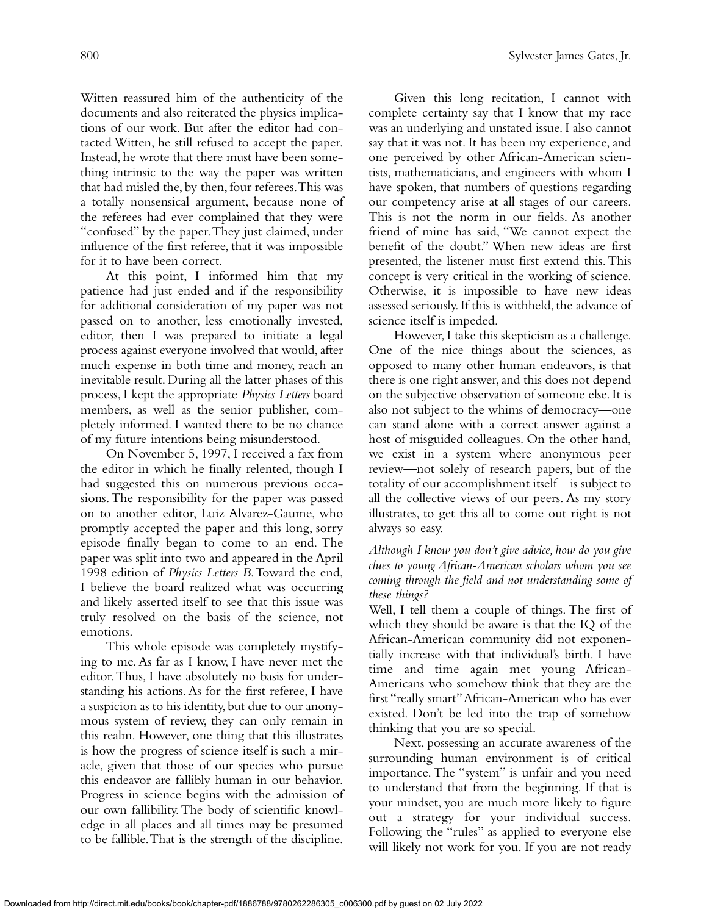Witten reassured him of the authenticity of the documents and also reiterated the physics implications of our work. But after the editor had contacted Witten, he still refused to accept the paper. Instead, he wrote that there must have been something intrinsic to the way the paper was written that had misled the, by then, four referees.This was a totally nonsensical argument, because none of the referees had ever complained that they were "confused" by the paper.They just claimed, under influence of the first referee, that it was impossible for it to have been correct.

At this point, I informed him that my patience had just ended and if the responsibility for additional consideration of my paper was not passed on to another, less emotionally invested, editor, then I was prepared to initiate a legal process against everyone involved that would, after much expense in both time and money, reach an inevitable result. During all the latter phases of this process, I kept the appropriate *Physics Letters* board members, as well as the senior publisher, completely informed. I wanted there to be no chance of my future intentions being misunderstood.

On November 5, 1997, I received a fax from the editor in which he finally relented, though I had suggested this on numerous previous occasions.The responsibility for the paper was passed on to another editor, Luiz Alvarez-Gaume, who promptly accepted the paper and this long, sorry episode finally began to come to an end. The paper was split into two and appeared in the April 1998 edition of *Physics Letters B*.Toward the end, I believe the board realized what was occurring and likely asserted itself to see that this issue was truly resolved on the basis of the science, not emotions.

This whole episode was completely mystifying to me. As far as I know, I have never met the editor.Thus, I have absolutely no basis for understanding his actions. As for the first referee, I have a suspicion as to his identity, but due to our anonymous system of review, they can only remain in this realm. However, one thing that this illustrates is how the progress of science itself is such a miracle, given that those of our species who pursue this endeavor are fallibly human in our behavior. Progress in science begins with the admission of our own fallibility.The body of scientific knowledge in all places and all times may be presumed to be fallible.That is the strength of the discipline.

Given this long recitation, I cannot with complete certainty say that I know that my race was an underlying and unstated issue. I also cannot say that it was not. It has been my experience, and one perceived by other African-American scientists, mathematicians, and engineers with whom I have spoken, that numbers of questions regarding our competency arise at all stages of our careers. This is not the norm in our fields. As another friend of mine has said, "We cannot expect the benefit of the doubt." When new ideas are first presented, the listener must first extend this. This concept is very critical in the working of science. Otherwise, it is impossible to have new ideas assessed seriously. If this is withheld, the advance of science itself is impeded.

However, I take this skepticism as a challenge. One of the nice things about the sciences, as opposed to many other human endeavors, is that there is one right answer, and this does not depend on the subjective observation of someone else. It is also not subject to the whims of democracy—one can stand alone with a correct answer against a host of misguided colleagues. On the other hand, we exist in a system where anonymous peer review—not solely of research papers, but of the totality of our accomplishment itself—is subject to all the collective views of our peers. As my story illustrates, to get this all to come out right is not always so easy.

*Although I know you don't give advice, how do you give clues to young African-American scholars whom you see coming through the field and not understanding some of these things?*

Well, I tell them a couple of things. The first of which they should be aware is that the IQ of the African-American community did not exponentially increase with that individual's birth. I have time and time again met young African-Americans who somehow think that they are the first "really smart"African-American who has ever existed. Don't be led into the trap of somehow thinking that you are so special.

Next, possessing an accurate awareness of the surrounding human environment is of critical importance. The "system" is unfair and you need to understand that from the beginning. If that is your mindset, you are much more likely to figure out a strategy for your individual success. Following the "rules" as applied to everyone else will likely not work for you. If you are not ready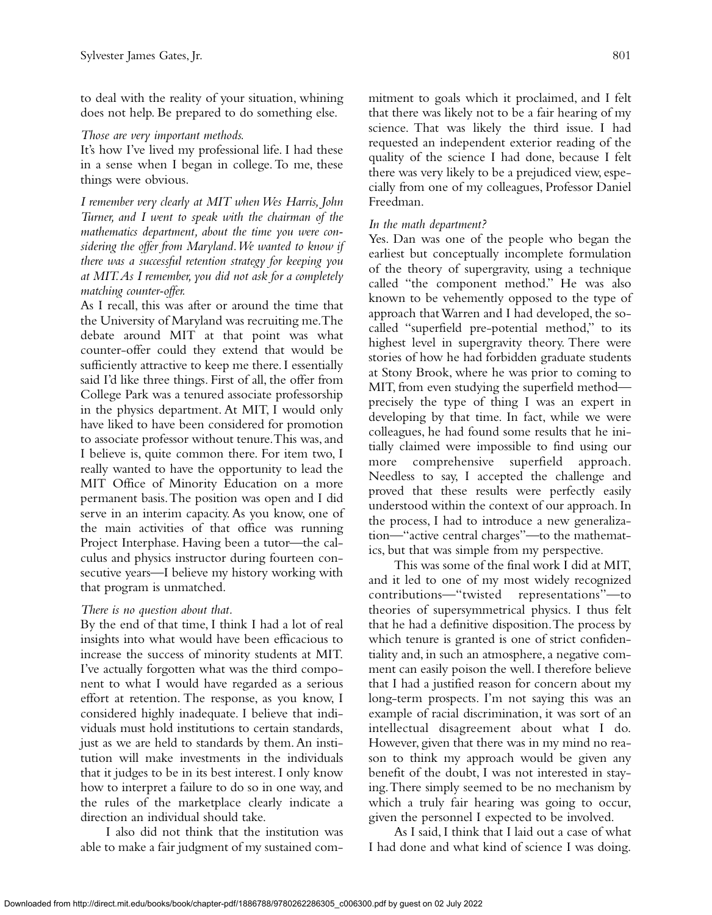to deal with the reality of your situation, whining does not help. Be prepared to do something else.

#### *Those are very important methods.*

It's how I've lived my professional life. I had these in a sense when I began in college. To me, these things were obvious.

*I remember very clearly at MIT when Wes Harris, John Turner, and I went to speak with the chairman of the mathematics department, about the time you were considering the offer from Maryland.We wanted to know if there was a successful retention strategy for keeping you at MIT.As I remember, you did not ask for a completely matching counter-offer.*

As I recall, this was after or around the time that the University of Maryland was recruiting me.The debate around MIT at that point was what counter-offer could they extend that would be sufficiently attractive to keep me there. I essentially said I'd like three things. First of all, the offer from College Park was a tenured associate professorship in the physics department. At MIT, I would only have liked to have been considered for promotion to associate professor without tenure.This was, and I believe is, quite common there. For item two, I really wanted to have the opportunity to lead the MIT Office of Minority Education on a more permanent basis.The position was open and I did serve in an interim capacity. As you know, one of the main activities of that office was running Project Interphase. Having been a tutor—the calculus and physics instructor during fourteen consecutive years—I believe my history working with that program is unmatched.

### *There is no question about that.*

By the end of that time, I think I had a lot of real insights into what would have been efficacious to increase the success of minority students at MIT. I've actually forgotten what was the third component to what I would have regarded as a serious effort at retention. The response, as you know, I considered highly inadequate. I believe that individuals must hold institutions to certain standards, just as we are held to standards by them.An institution will make investments in the individuals that it judges to be in its best interest. I only know how to interpret a failure to do so in one way, and the rules of the marketplace clearly indicate a direction an individual should take.

I also did not think that the institution was able to make a fair judgment of my sustained commitment to goals which it proclaimed, and I felt that there was likely not to be a fair hearing of my science. That was likely the third issue. I had requested an independent exterior reading of the quality of the science I had done, because I felt there was very likely to be a prejudiced view, especially from one of my colleagues, Professor Daniel Freedman.

### *In the math department?*

Yes. Dan was one of the people who began the earliest but conceptually incomplete formulation of the theory of supergravity, using a technique called "the component method." He was also known to be vehemently opposed to the type of approach that Warren and I had developed, the socalled "superfield pre-potential method," to its highest level in supergravity theory. There were stories of how he had forbidden graduate students at Stony Brook, where he was prior to coming to MIT, from even studying the superfield method precisely the type of thing I was an expert in developing by that time. In fact, while we were colleagues, he had found some results that he initially claimed were impossible to find using our more comprehensive superfield approach. Needless to say, I accepted the challenge and proved that these results were perfectly easily understood within the context of our approach. In the process, I had to introduce a new generalization—"active central charges"—to the mathematics, but that was simple from my perspective.

This was some of the final work I did at MIT, and it led to one of my most widely recognized contributions—"twisted representations"—to theories of supersymmetrical physics. I thus felt that he had a definitive disposition.The process by which tenure is granted is one of strict confidentiality and, in such an atmosphere, a negative comment can easily poison the well. I therefore believe that I had a justified reason for concern about my long-term prospects. I'm not saying this was an example of racial discrimination, it was sort of an intellectual disagreement about what I do. However, given that there was in my mind no reason to think my approach would be given any benefit of the doubt, I was not interested in staying.There simply seemed to be no mechanism by which a truly fair hearing was going to occur, given the personnel I expected to be involved.

As I said, I think that I laid out a case of what I had done and what kind of science I was doing.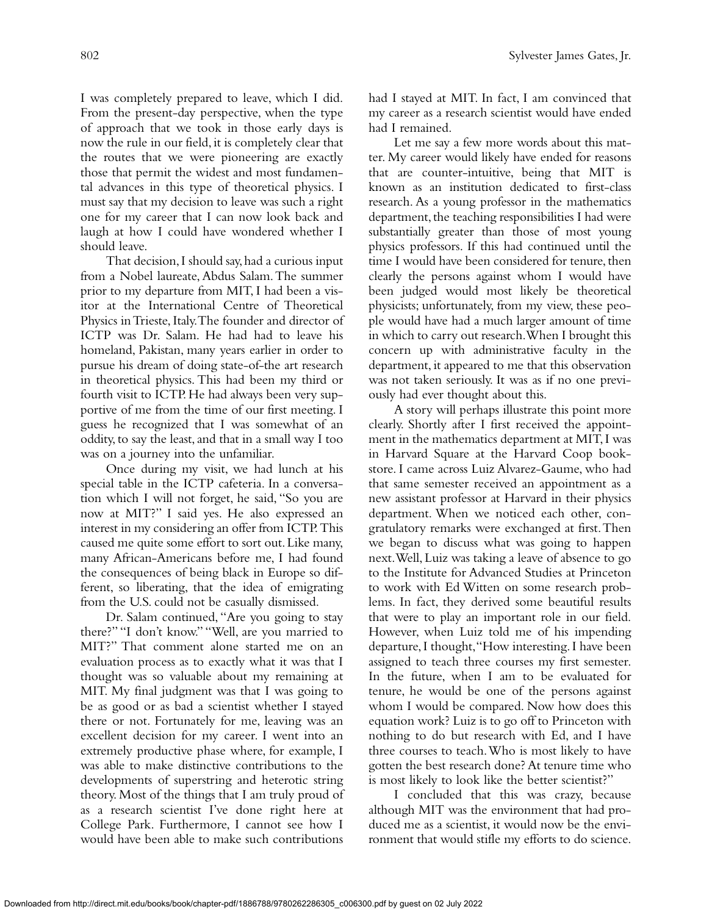I was completely prepared to leave, which I did. From the present-day perspective, when the type of approach that we took in those early days is now the rule in our field,it is completely clear that the routes that we were pioneering are exactly those that permit the widest and most fundamental advances in this type of theoretical physics. I must say that my decision to leave was such a right one for my career that I can now look back and laugh at how I could have wondered whether I should leave.

That decision,I should say,had a curious input from a Nobel laureate, Abdus Salam.The summer prior to my departure from MIT, I had been a visitor at the International Centre of Theoretical Physics in Trieste, Italy.The founder and director of ICTP was Dr. Salam. He had had to leave his homeland, Pakistan, many years earlier in order to pursue his dream of doing state-of-the art research in theoretical physics. This had been my third or fourth visit to ICTP. He had always been very supportive of me from the time of our first meeting. I guess he recognized that I was somewhat of an oddity, to say the least, and that in a small way I too was on a journey into the unfamiliar.

Once during my visit, we had lunch at his special table in the ICTP cafeteria. In a conversation which I will not forget, he said, "So you are now at MIT?" I said yes. He also expressed an interest in my considering an offer from ICTP. This caused me quite some effort to sort out.Like many, many African-Americans before me, I had found the consequences of being black in Europe so different, so liberating, that the idea of emigrating from the U.S. could not be casually dismissed.

Dr. Salam continued, "Are you going to stay there?" "I don't know." "Well, are you married to MIT?" That comment alone started me on an evaluation process as to exactly what it was that I thought was so valuable about my remaining at MIT. My final judgment was that I was going to be as good or as bad a scientist whether I stayed there or not. Fortunately for me, leaving was an excellent decision for my career. I went into an extremely productive phase where, for example, I was able to make distinctive contributions to the developments of superstring and heterotic string theory. Most of the things that I am truly proud of as a research scientist I've done right here at College Park. Furthermore, I cannot see how I would have been able to make such contributions

had I stayed at MIT. In fact, I am convinced that my career as a research scientist would have ended had I remained.

Let me say a few more words about this matter. My career would likely have ended for reasons that are counter-intuitive, being that MIT is known as an institution dedicated to first-class research. As a young professor in the mathematics department, the teaching responsibilities I had were substantially greater than those of most young physics professors. If this had continued until the time I would have been considered for tenure, then clearly the persons against whom I would have been judged would most likely be theoretical physicists; unfortunately, from my view, these people would have had a much larger amount of time in which to carry out research.When I brought this concern up with administrative faculty in the department, it appeared to me that this observation was not taken seriously. It was as if no one previously had ever thought about this.

A story will perhaps illustrate this point more clearly. Shortly after I first received the appointment in the mathematics department at MIT,I was in Harvard Square at the Harvard Coop bookstore. I came across Luiz Alvarez-Gaume, who had that same semester received an appointment as a new assistant professor at Harvard in their physics department. When we noticed each other, congratulatory remarks were exchanged at first.Then we began to discuss what was going to happen next.Well, Luiz was taking a leave of absence to go to the Institute for Advanced Studies at Princeton to work with Ed Witten on some research problems. In fact, they derived some beautiful results that were to play an important role in our field. However, when Luiz told me of his impending departure,I thought,"How interesting.I have been assigned to teach three courses my first semester. In the future, when I am to be evaluated for tenure, he would be one of the persons against whom I would be compared. Now how does this equation work? Luiz is to go off to Princeton with nothing to do but research with Ed, and I have three courses to teach.Who is most likely to have gotten the best research done? At tenure time who is most likely to look like the better scientist?"

I concluded that this was crazy, because although MIT was the environment that had produced me as a scientist, it would now be the environment that would stifle my efforts to do science.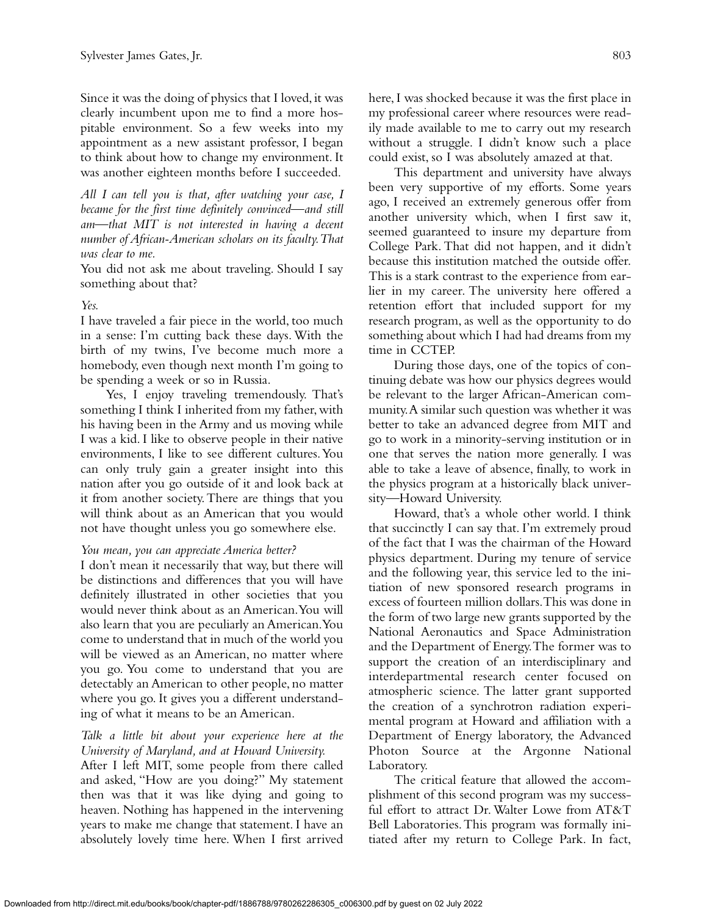Since it was the doing of physics that I loved, it was clearly incumbent upon me to find a more hospitable environment. So a few weeks into my appointment as a new assistant professor, I began to think about how to change my environment. It was another eighteen months before I succeeded.

*All I can tell you is that, after watching your case, I became for the first time definitely convinced—and still am—that MIT is not interested in having a decent number of African-American scholars on its faculty.That was clear to me.*

You did not ask me about traveling. Should I say something about that?

### *Yes.*

I have traveled a fair piece in the world, too much in a sense: I'm cutting back these days. With the birth of my twins, I've become much more a homebody, even though next month I'm going to be spending a week or so in Russia.

Yes, I enjoy traveling tremendously. That's something I think I inherited from my father, with his having been in the Army and us moving while I was a kid. I like to observe people in their native environments, I like to see different cultures.You can only truly gain a greater insight into this nation after you go outside of it and look back at it from another society.There are things that you will think about as an American that you would not have thought unless you go somewhere else.

### *You mean, you can appreciate America better?*

I don't mean it necessarily that way, but there will be distinctions and differences that you will have definitely illustrated in other societies that you would never think about as an American.You will also learn that you are peculiarly an American.You come to understand that in much of the world you will be viewed as an American, no matter where you go. You come to understand that you are detectably an American to other people, no matter where you go. It gives you a different understanding of what it means to be an American.

### *Talk a little bit about your experience here at the University of Maryland, and at Howard University.*

After I left MIT, some people from there called and asked, "How are you doing?" My statement then was that it was like dying and going to heaven. Nothing has happened in the intervening years to make me change that statement. I have an absolutely lovely time here. When I first arrived here, I was shocked because it was the first place in my professional career where resources were readily made available to me to carry out my research without a struggle. I didn't know such a place could exist, so I was absolutely amazed at that.

This department and university have always been very supportive of my efforts. Some years ago, I received an extremely generous offer from another university which, when I first saw it, seemed guaranteed to insure my departure from College Park. That did not happen, and it didn't because this institution matched the outside offer. This is a stark contrast to the experience from earlier in my career. The university here offered a retention effort that included support for my research program, as well as the opportunity to do something about which I had had dreams from my time in CCTEP.

During those days, one of the topics of continuing debate was how our physics degrees would be relevant to the larger African-American community.A similar such question was whether it was better to take an advanced degree from MIT and go to work in a minority-serving institution or in one that serves the nation more generally. I was able to take a leave of absence, finally, to work in the physics program at a historically black university—Howard University.

Howard, that's a whole other world. I think that succinctly I can say that. I'm extremely proud of the fact that I was the chairman of the Howard physics department. During my tenure of service and the following year, this service led to the initiation of new sponsored research programs in excess of fourteen million dollars.This was done in the form of two large new grants supported by the National Aeronautics and Space Administration and the Department of Energy.The former was to support the creation of an interdisciplinary and interdepartmental research center focused on atmospheric science. The latter grant supported the creation of a synchrotron radiation experimental program at Howard and affiliation with a Department of Energy laboratory, the Advanced Photon Source at the Argonne National Laboratory.

The critical feature that allowed the accomplishment of this second program was my successful effort to attract Dr. Walter Lowe from AT&T Bell Laboratories.This program was formally initiated after my return to College Park. In fact,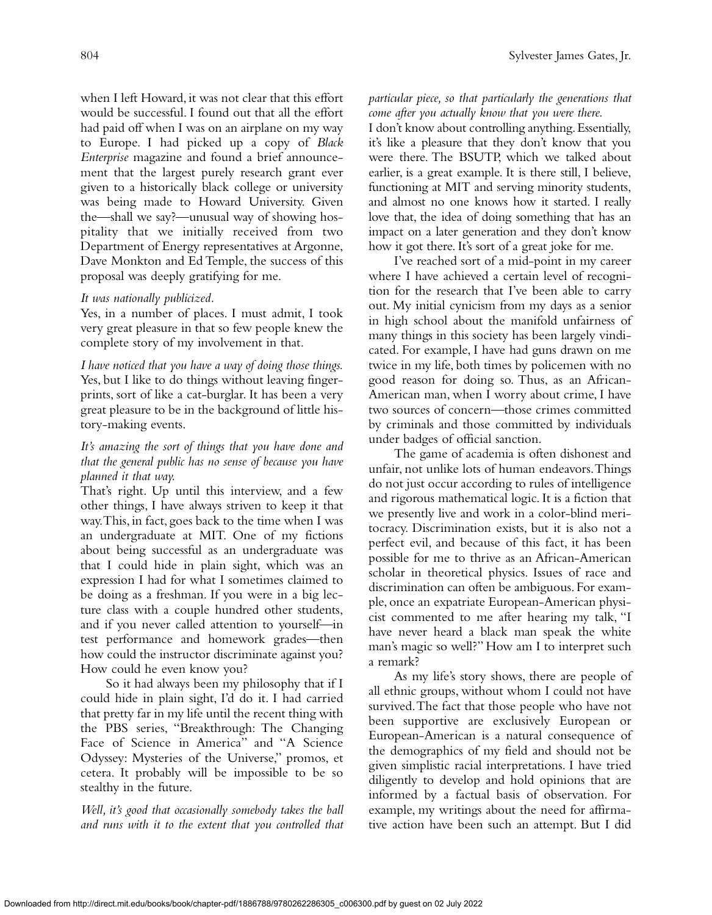when I left Howard, it was not clear that this effort would be successful. I found out that all the effort had paid off when I was on an airplane on my way to Europe. I had picked up a copy of *Black Enterprise* magazine and found a brief announcement that the largest purely research grant ever given to a historically black college or university was being made to Howard University. Given the—shall we say?—unusual way of showing hospitality that we initially received from two Department of Energy representatives at Argonne, Dave Monkton and Ed Temple, the success of this proposal was deeply gratifying for me.

#### *It was nationally publicized.*

Yes, in a number of places. I must admit, I took very great pleasure in that so few people knew the complete story of my involvement in that.

*I have noticed that you have a way of doing those things.* Yes, but I like to do things without leaving fingerprints, sort of like a cat-burglar. It has been a very great pleasure to be in the background of little history-making events.

## *It's amazing the sort of things that you have done and that the general public has no sense of because you have planned it that way.*

That's right. Up until this interview, and a few other things, I have always striven to keep it that way.This, in fact, goes back to the time when I was an undergraduate at MIT. One of my fictions about being successful as an undergraduate was that I could hide in plain sight, which was an expression I had for what I sometimes claimed to be doing as a freshman. If you were in a big lecture class with a couple hundred other students, and if you never called attention to yourself—in test performance and homework grades—then how could the instructor discriminate against you? How could he even know you?

So it had always been my philosophy that if I could hide in plain sight, I'd do it. I had carried that pretty far in my life until the recent thing with the PBS series, "Breakthrough: The Changing Face of Science in America" and "A Science Odyssey: Mysteries of the Universe," promos, et cetera. It probably will be impossible to be so stealthy in the future.

*Well, it's good that occasionally somebody takes the ball and runs with it to the extent that you controlled that*

*particular piece, so that particularly the generations that come after you actually know that you were there.*

I don't know about controlling anything.Essentially, it's like a pleasure that they don't know that you were there. The BSUTP, which we talked about earlier, is a great example. It is there still, I believe, functioning at MIT and serving minority students, and almost no one knows how it started. I really love that, the idea of doing something that has an impact on a later generation and they don't know how it got there. It's sort of a great joke for me.

I've reached sort of a mid-point in my career where I have achieved a certain level of recognition for the research that I've been able to carry out. My initial cynicism from my days as a senior in high school about the manifold unfairness of many things in this society has been largely vindicated. For example, I have had guns drawn on me twice in my life, both times by policemen with no good reason for doing so. Thus, as an African-American man, when I worry about crime, I have two sources of concern—those crimes committed by criminals and those committed by individuals under badges of official sanction.

The game of academia is often dishonest and unfair, not unlike lots of human endeavors.Things do not just occur according to rules of intelligence and rigorous mathematical logic. It is a fiction that we presently live and work in a color-blind meritocracy. Discrimination exists, but it is also not a perfect evil, and because of this fact, it has been possible for me to thrive as an African-American scholar in theoretical physics. Issues of race and discrimination can often be ambiguous. For example, once an expatriate European-American physicist commented to me after hearing my talk, "I have never heard a black man speak the white man's magic so well?" How am I to interpret such a remark?

As my life's story shows, there are people of all ethnic groups, without whom I could not have survived.The fact that those people who have not been supportive are exclusively European or European-American is a natural consequence of the demographics of my field and should not be given simplistic racial interpretations. I have tried diligently to develop and hold opinions that are informed by a factual basis of observation. For example, my writings about the need for affirmative action have been such an attempt. But I did